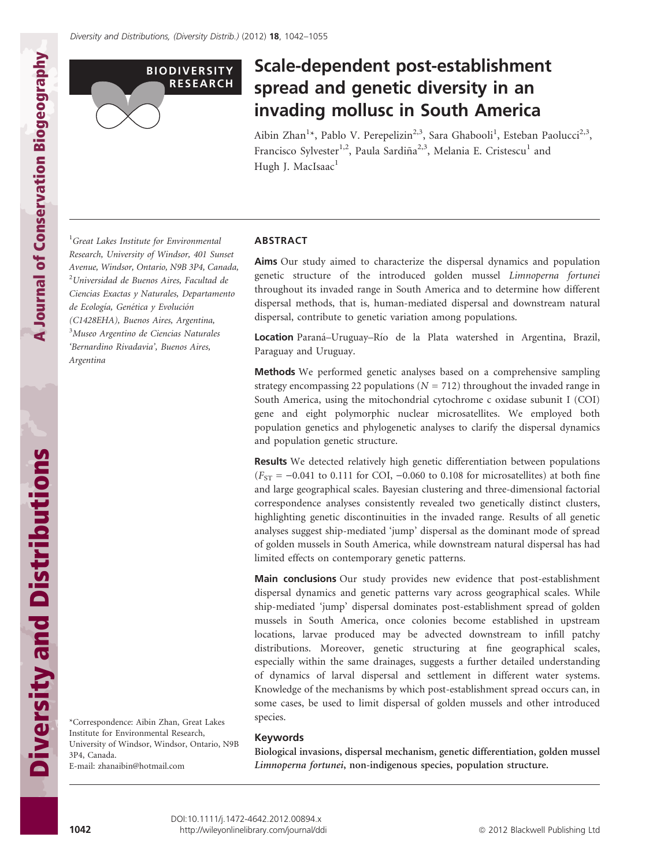

# Scale-dependent post-establishment spread and genetic diversity in an invading mollusc in South America

Aibin Zhan<sup>1</sup>\*, Pablo V. Perepelizin<sup>2,3</sup>, Sara Ghabooli<sup>1</sup>, Esteban Paolucci<sup>2,3</sup>, Francisco Sylvester<sup>1,2</sup>, Paula Sardiña<sup>2,3</sup>, Melania E. Cristescu<sup>1</sup> and Hugh J. MacIsaac<sup>1</sup>

<sup>1</sup>Great Lakes Institute for Environmental Research, University of Windsor, 401 Sunset Avenue, Windsor, Ontario, N9B 3P4, Canada, <sup>2</sup>Universidad de Buenos Aires, Facultad de Ciencias Exactas y Naturales, Departamento de Ecología, Genética y Evolución (C1428EHA), Buenos Aires, Argentina, 3 Museo Argentino de Ciencias Naturales 'Bernardino Rivadavia', Buenos Aires, Argentina

## ABSTRACT

Aims Our study aimed to characterize the dispersal dynamics and population genetic structure of the introduced golden mussel Limnoperna fortunei throughout its invaded range in South America and to determine how different dispersal methods, that is, human-mediated dispersal and downstream natural dispersal, contribute to genetic variation among populations.

Location Paraná-Uruguay-Río de la Plata watershed in Argentina, Brazil, Paraguay and Uruguay.

Methods We performed genetic analyses based on a comprehensive sampling strategy encompassing 22 populations ( $N = 712$ ) throughout the invaded range in South America, using the mitochondrial cytochrome c oxidase subunit I (COI) gene and eight polymorphic nuclear microsatellites. We employed both population genetics and phylogenetic analyses to clarify the dispersal dynamics and population genetic structure.

Results We detected relatively high genetic differentiation between populations  $(F<sub>ST</sub> = -0.041$  to 0.111 for COI, -0.060 to 0.108 for microsatellites) at both fine and large geographical scales. Bayesian clustering and three-dimensional factorial correspondence analyses consistently revealed two genetically distinct clusters, highlighting genetic discontinuities in the invaded range. Results of all genetic analyses suggest ship-mediated 'jump' dispersal as the dominant mode of spread of golden mussels in South America, while downstream natural dispersal has had limited effects on contemporary genetic patterns.

Main conclusions Our study provides new evidence that post-establishment dispersal dynamics and genetic patterns vary across geographical scales. While ship-mediated 'jump' dispersal dominates post-establishment spread of golden mussels in South America, once colonies become established in upstream locations, larvae produced may be advected downstream to infill patchy distributions. Moreover, genetic structuring at fine geographical scales, especially within the same drainages, suggests a further detailed understanding of dynamics of larval dispersal and settlement in different water systems. Knowledge of the mechanisms by which post-establishment spread occurs can, in some cases, be used to limit dispersal of golden mussels and other introduced species.

#### Keywords

Biological invasions, dispersal mechanism, genetic differentiation, golden mussel Limnoperna fortunei, non-indigenous species, population structure.

Diversity and Distributions Diversity and Distributions

A Journal of Conservation Biogeography

**A Journal of Conservation Biogeography**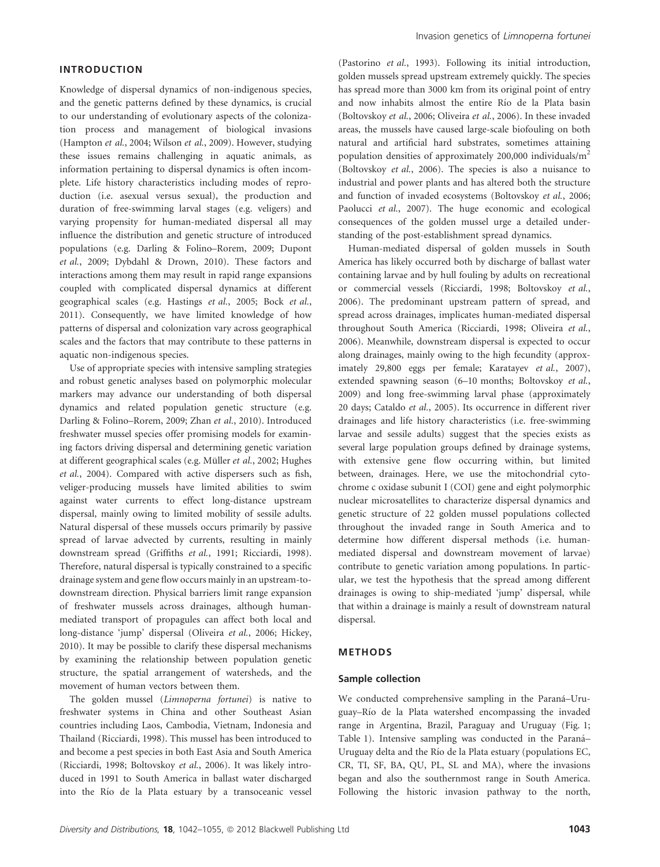# INTRODUCTION

Knowledge of dispersal dynamics of non-indigenous species, and the genetic patterns defined by these dynamics, is crucial to our understanding of evolutionary aspects of the colonization process and management of biological invasions (Hampton et al., 2004; Wilson et al., 2009). However, studying these issues remains challenging in aquatic animals, as information pertaining to dispersal dynamics is often incomplete. Life history characteristics including modes of reproduction (i.e. asexual versus sexual), the production and duration of free-swimming larval stages (e.g. veligers) and varying propensity for human-mediated dispersal all may influence the distribution and genetic structure of introduced populations (e.g. Darling & Folino–Rorem, 2009; Dupont et al., 2009; Dybdahl & Drown, 2010). These factors and interactions among them may result in rapid range expansions coupled with complicated dispersal dynamics at different geographical scales (e.g. Hastings et al., 2005; Bock et al., 2011). Consequently, we have limited knowledge of how patterns of dispersal and colonization vary across geographical scales and the factors that may contribute to these patterns in aquatic non-indigenous species.

Use of appropriate species with intensive sampling strategies and robust genetic analyses based on polymorphic molecular markers may advance our understanding of both dispersal dynamics and related population genetic structure (e.g. Darling & Folino–Rorem, 2009; Zhan et al., 2010). Introduced freshwater mussel species offer promising models for examining factors driving dispersal and determining genetic variation at different geographical scales (e.g. Müller et al., 2002; Hughes et al., 2004). Compared with active dispersers such as fish, veliger-producing mussels have limited abilities to swim against water currents to effect long-distance upstream dispersal, mainly owing to limited mobility of sessile adults. Natural dispersal of these mussels occurs primarily by passive spread of larvae advected by currents, resulting in mainly downstream spread (Griffiths et al., 1991; Ricciardi, 1998). Therefore, natural dispersal is typically constrained to a specific drainage system and gene flow occurs mainly in an upstream-todownstream direction. Physical barriers limit range expansion of freshwater mussels across drainages, although humanmediated transport of propagules can affect both local and long-distance 'jump' dispersal (Oliveira et al., 2006; Hickey, 2010). It may be possible to clarify these dispersal mechanisms by examining the relationship between population genetic structure, the spatial arrangement of watersheds, and the movement of human vectors between them.

The golden mussel (Limnoperna fortunei) is native to freshwater systems in China and other Southeast Asian countries including Laos, Cambodia, Vietnam, Indonesia and Thailand (Ricciardi, 1998). This mussel has been introduced to and become a pest species in both East Asia and South America (Ricciardi, 1998; Boltovskoy et al., 2006). It was likely introduced in 1991 to South America in ballast water discharged into the Río de la Plata estuary by a transoceanic vessel (Pastorino et al., 1993). Following its initial introduction, golden mussels spread upstream extremely quickly. The species has spread more than 3000 km from its original point of entry and now inhabits almost the entire Río de la Plata basin (Boltovskoy et al., 2006; Oliveira et al., 2006). In these invaded areas, the mussels have caused large-scale biofouling on both natural and artificial hard substrates, sometimes attaining population densities of approximately 200,000 individuals/m<sup>2</sup> (Boltovskoy et al., 2006). The species is also a nuisance to industrial and power plants and has altered both the structure and function of invaded ecosystems (Boltovskoy et al., 2006; Paolucci et al., 2007). The huge economic and ecological consequences of the golden mussel urge a detailed understanding of the post-establishment spread dynamics.

Human-mediated dispersal of golden mussels in South America has likely occurred both by discharge of ballast water containing larvae and by hull fouling by adults on recreational or commercial vessels (Ricciardi, 1998; Boltovskoy et al., 2006). The predominant upstream pattern of spread, and spread across drainages, implicates human-mediated dispersal throughout South America (Ricciardi, 1998; Oliveira et al., 2006). Meanwhile, downstream dispersal is expected to occur along drainages, mainly owing to the high fecundity (approximately 29,800 eggs per female; Karatayev et al., 2007), extended spawning season (6–10 months; Boltovskoy et al., 2009) and long free-swimming larval phase (approximately 20 days; Cataldo et al., 2005). Its occurrence in different river drainages and life history characteristics (i.e. free-swimming larvae and sessile adults) suggest that the species exists as several large population groups defined by drainage systems, with extensive gene flow occurring within, but limited between, drainages. Here, we use the mitochondrial cytochrome c oxidase subunit I (COI) gene and eight polymorphic nuclear microsatellites to characterize dispersal dynamics and genetic structure of 22 golden mussel populations collected throughout the invaded range in South America and to determine how different dispersal methods (i.e. humanmediated dispersal and downstream movement of larvae) contribute to genetic variation among populations. In particular, we test the hypothesis that the spread among different drainages is owing to ship-mediated 'jump' dispersal, while that within a drainage is mainly a result of downstream natural dispersal.

#### METHODS

#### Sample collection

We conducted comprehensive sampling in the Paraná-Uruguay–Rı´o de la Plata watershed encompassing the invaded range in Argentina, Brazil, Paraguay and Uruguay (Fig. 1; Table 1). Intensive sampling was conducted in the Paraná-Uruguay delta and the Rı´o de la Plata estuary (populations EC, CR, TI, SF, BA, QU, PL, SL and MA), where the invasions began and also the southernmost range in South America. Following the historic invasion pathway to the north,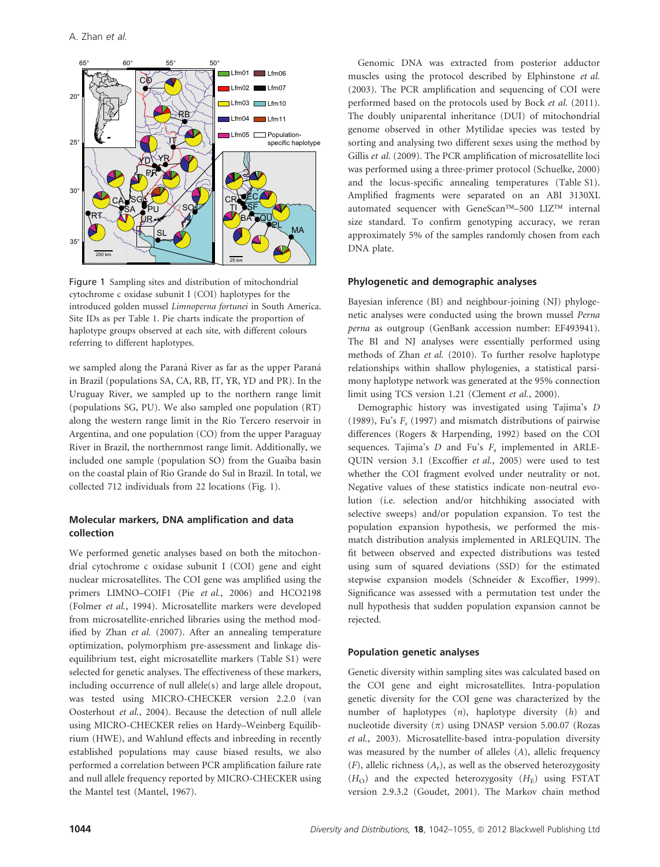

Figure 1 Sampling sites and distribution of mitochondrial cytochrome c oxidase subunit I (COI) haplotypes for the introduced golden mussel Limnoperna fortunei in South America. Site IDs as per Table 1. Pie charts indicate the proportion of haplotype groups observed at each site, with different colours referring to different haplotypes.

we sampled along the Paraná River as far as the upper Paraná in Brazil (populations SA, CA, RB, IT, YR, YD and PR). In the Uruguay River, we sampled up to the northern range limit (populations SG, PU). We also sampled one population (RT) along the western range limit in the Río Tercero reservoir in Argentina, and one population (CO) from the upper Paraguay River in Brazil, the northernmost range limit. Additionally, we included one sample (population SO) from the Guaíba basin on the coastal plain of Rio Grande do Sul in Brazil. In total, we collected 712 individuals from 22 locations (Fig. 1).

# Molecular markers, DNA amplification and data collection

We performed genetic analyses based on both the mitochondrial cytochrome c oxidase subunit I (COI) gene and eight nuclear microsatellites. The COI gene was amplified using the primers LIMNO–COIF1 (Pie et al., 2006) and HCO2198 (Folmer et al., 1994). Microsatellite markers were developed from microsatellite-enriched libraries using the method modified by Zhan et al. (2007). After an annealing temperature optimization, polymorphism pre-assessment and linkage disequilibrium test, eight microsatellite markers (Table S1) were selected for genetic analyses. The effectiveness of these markers, including occurrence of null allele(s) and large allele dropout, was tested using MICRO-CHECKER version 2.2.0 (van Oosterhout et al., 2004). Because the detection of null allele using MICRO-CHECKER relies on Hardy–Weinberg Equilibrium (HWE), and Wahlund effects and inbreeding in recently established populations may cause biased results, we also performed a correlation between PCR amplification failure rate and null allele frequency reported by MICRO-CHECKER using the Mantel test (Mantel, 1967).

Genomic DNA was extracted from posterior adductor muscles using the protocol described by Elphinstone et al. (2003). The PCR amplification and sequencing of COI were performed based on the protocols used by Bock et al. (2011). The doubly uniparental inheritance (DUI) of mitochondrial genome observed in other Mytilidae species was tested by sorting and analysing two different sexes using the method by Gillis et al. (2009). The PCR amplification of microsatellite loci was performed using a three-primer protocol (Schuelke, 2000) and the locus-specific annealing temperatures (Table S1). Amplified fragments were separated on an ABI 3130XL automated sequencer with GeneScan™-500 LIZ™ internal size standard. To confirm genotyping accuracy, we reran approximately 5% of the samples randomly chosen from each DNA plate.

## Phylogenetic and demographic analyses

Bayesian inference (BI) and neighbour-joining (NJ) phylogenetic analyses were conducted using the brown mussel Perna perna as outgroup (GenBank accession number: EF493941). The BI and NJ analyses were essentially performed using methods of Zhan et al. (2010). To further resolve haplotype relationships within shallow phylogenies, a statistical parsimony haplotype network was generated at the 95% connection limit using TCS version 1.21 (Clement et al., 2000).

Demographic history was investigated using Tajima's D (1989), Fu's  $F_s$  (1997) and mismatch distributions of pairwise differences (Rogers & Harpending, 1992) based on the COI sequences. Tajima's  $D$  and Fu's  $F_s$  implemented in ARLE-QUIN version 3.1 (Excoffier et al., 2005) were used to test whether the COI fragment evolved under neutrality or not. Negative values of these statistics indicate non-neutral evolution (i.e. selection and/or hitchhiking associated with selective sweeps) and/or population expansion. To test the population expansion hypothesis, we performed the mismatch distribution analysis implemented in ARLEQUIN. The fit between observed and expected distributions was tested using sum of squared deviations (SSD) for the estimated stepwise expansion models (Schneider & Excoffier, 1999). Significance was assessed with a permutation test under the null hypothesis that sudden population expansion cannot be rejected.

# Population genetic analyses

Genetic diversity within sampling sites was calculated based on the COI gene and eight microsatellites. Intra-population genetic diversity for the COI gene was characterized by the number of haplotypes (n), haplotype diversity (h) and nucleotide diversity  $(\pi)$  using DNASP version 5.00.07 (Rozas et al., 2003). Microsatellite-based intra-population diversity was measured by the number of alleles (A), allelic frequency  $(F)$ , allelic richness  $(A_r)$ , as well as the observed heterozygosity  $(H<sub>O</sub>)$  and the expected heterozygosity  $(H<sub>E</sub>)$  using FSTAT version 2.9.3.2 (Goudet, 2001). The Markov chain method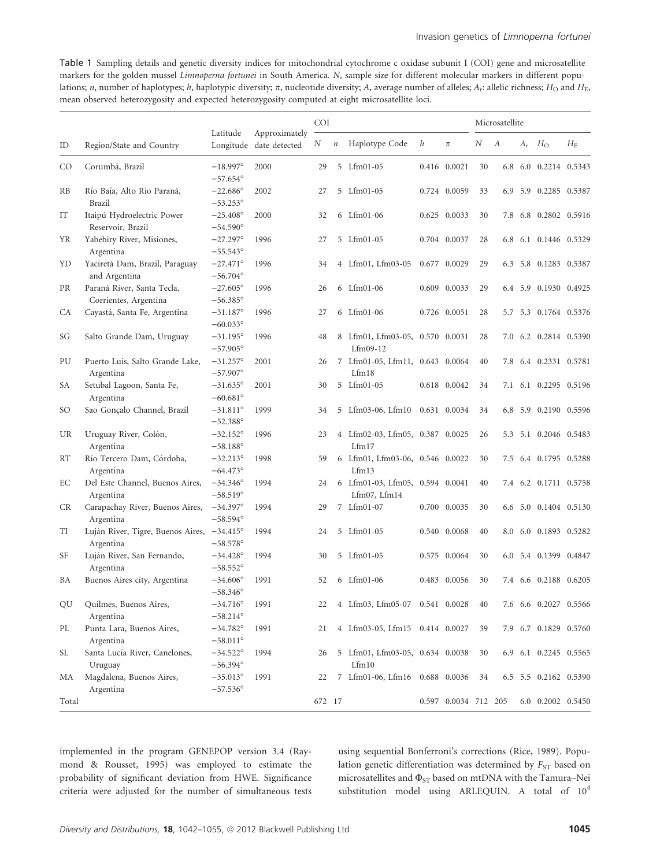Table 1 Sampling details and genetic diversity indices for mitochondrial cytochrome c oxidase subunit I (COI) gene and microsatellite markers for the golden mussel Limnoperna fortunei in South America. N, sample size for different molecular markers in different populations; n, number of haplotypes; h, haplotypic diversity;  $\pi$ , nucleotide diversity; A, average number of alleles;  $A_i$ : allelic richness;  $H_O$  and  $H_E$ , mean observed heterozygosity and expected heterozygosity computed at eight microsatellite loci.

|           |                                                     |                                        |                                          |        | <b>COI</b>       |                                                      |       |                      | Microsatellite |     |  |                       |             |  |
|-----------|-----------------------------------------------------|----------------------------------------|------------------------------------------|--------|------------------|------------------------------------------------------|-------|----------------------|----------------|-----|--|-----------------------|-------------|--|
| ID        | Region/State and Country                            | Latitude                               | Approximately<br>Longitude date detected | Ν      | $\boldsymbol{n}$ | Haplotype Code                                       | h     | $\pi$                | N              | А   |  | $A_r$ $H_{\Omega}$    | $H_{\rm E}$ |  |
| CO        | Corumbá, Brazil                                     | $-18.997^{\circ}$<br>$-57.654^{\circ}$ | 2000                                     | 29     |                  | 5 Lfm01-05                                           |       | 0.416 0.0021         | 30             | 6.8 |  | 6.0 0.2214 0.5343     |             |  |
| <b>RB</b> | Río Baía, Alto Rio Paraná,<br><b>Brazil</b>         | $-22.686^{\circ}$<br>$-53.253^{\circ}$ | 2002                                     | 27     |                  | 5 Lfm01-05                                           |       | 0.724 0.0059         | 33             | 6.9 |  | 5.9 0.2285 0.5387     |             |  |
| IT        | Itaipú Hydroelectric Power<br>Reservoir, Brazil     | $-25.408^{\circ}$<br>$-54.590^{\circ}$ | 2000                                     | 32     |                  | 6 Lfm01-06                                           |       | 0.625 0.0033         | 30             |     |  | 7.8 6.8 0.2802 0.5916 |             |  |
| YR        | Yabebiry River, Misiones,<br>Argentina              | $-27.297^{\circ}$<br>$-55.543^{\circ}$ | 1996                                     | 27     |                  | 5 Lfm01-05                                           |       | 0.704 0.0037         | 28             | 6.8 |  | 6.1 0.1446 0.5329     |             |  |
| YD        | Yaciretá Dam, Brazil, Paraguay<br>and Argentina     | $-27.471^{\circ}$<br>$-56.704^{\circ}$ | 1996                                     | 34     |                  | 4 Lfm01, Lfm03-05                                    | 0.677 | 0.0029               | 29             | 6.3 |  | 5.8 0.1283 0.5387     |             |  |
| PR        | Paraná River, Santa Tecla,<br>Corrientes, Argentina | $-27.605^{\circ}$<br>$-56.385^{\circ}$ | 1996                                     | 26     |                  | 6 Lfm01-06                                           |       | 0.609 0.0033         | 29             |     |  | 6.4 5.9 0.1930 0.4925 |             |  |
| CA        | Cayastá, Santa Fe, Argentina                        | $-31.187^{\circ}$<br>$-60.033^{\circ}$ | 1996                                     | 27     |                  | 6 Lfm01-06                                           |       | 0.726 0.0051         | 28             | 5.7 |  | 5.3 0.1764 0.5376     |             |  |
| SG        | Salto Grande Dam, Uruguay                           | $-31.195^{\circ}$<br>$-57.905^{\circ}$ | 1996                                     | 48     |                  | 8 Lfm01, Lfm03-05, 0.570 0.0031<br>$Lfm09-12$        |       |                      | 28             | 7.0 |  | 6.2 0.2814 0.5390     |             |  |
| PU        | Puerto Luis, Salto Grande Lake,<br>Argentina        | $-31.257^{\circ}$<br>$-57.907^{\circ}$ | 2001                                     | 26     |                  | 7 Lfm01-05, Lfm11, 0.643 0.0064<br>Lfm18             |       |                      | 40             |     |  | 7.8 6.4 0.2331 0.5781 |             |  |
| SA        | Setubal Lagoon, Santa Fe,<br>Argentina              | $-31.635^{\circ}$<br>$-60.681^{\circ}$ | 2001                                     | 30     |                  | 5 Lfm01-05                                           |       | 0.618 0.0042         | 34             | 7.1 |  | 6.1 0.2295 0.5196     |             |  |
| SO        | Sao Gonçalo Channel, Brazil                         | $-31.811^{\circ}$<br>$-52.388^{\circ}$ | 1999                                     | 34     |                  | 5 Lfm03-06, Lfm10                                    |       | 0.631 0.0034         | 34             |     |  | 6.8 5.9 0.2190 0.5596 |             |  |
| UR        | Uruguay River, Colón,<br>Argentina                  | $-32.152^{\circ}$<br>$-58.188^{\circ}$ | 1996                                     | 23     |                  | 4 Lfm02-03, Lfm05, 0.387 0.0025<br>Lfm17             |       |                      | 26             | 5.3 |  | 5.1 0.2046 0.5483     |             |  |
| RT        | Río Tercero Dam, Córdoba,<br>Argentina              | $-32.213^{\circ}$<br>$-64.473^{\circ}$ | 1998                                     | 59     |                  | 6 Lfm01, Lfm03-06, 0.546 0.0022<br>Lfm13             |       |                      | 30             | 7.5 |  | 6.4 0.1795 0.5288     |             |  |
| EС        | Del Este Channel, Buenos Aires,<br>Argentina        | $-34.346^{\circ}$<br>$-58.519^{\circ}$ | 1994                                     | 24     |                  | 6 Lfm01-03, Lfm05, 0.594 0.0041<br>$Lfm07$ , $Lfm14$ |       |                      | 40             |     |  | 7.4 6.2 0.1711 0.5758 |             |  |
| CR        | Carapachay River, Buenos Aires,<br>Argentina        | $-34.397^{\circ}$<br>$-58.594^{\circ}$ | 1994                                     | 29     |                  | 7 Lfm01-07                                           |       | 0.700 0.0035         | 30             |     |  | 6.6 5.0 0.1404 0.5130 |             |  |
| TI        | Luján River, Tigre, Buenos Aires,<br>Argentina      | $-34.415^{\circ}$<br>$-58.578^{\circ}$ | 1994                                     | 24     |                  | 5 Lfm01-05                                           |       | 0.540 0.0068         | 40             | 8.0 |  | 6.0 0.1893 0.5282     |             |  |
| SF        | Luján River, San Fernando,<br>Argentina             | $-34.428^{\circ}$<br>$-58.552^{\circ}$ | 1994                                     | 30     |                  | 5 Lfm01-05                                           |       | 0.575 0.0064         | 30             |     |  | 6.0 5.4 0.1399 0.4847 |             |  |
| ΒA        | Buenos Aires city, Argentina                        | $-34.606^{\circ}$<br>$-58.346^{\circ}$ | 1991                                     | 52     |                  | 6 Lfm01-06                                           |       | 0.483 0.0056         | 30             | 7.4 |  | 6.6 0.2188 0.6205     |             |  |
| QU        | Quilmes, Buenos Aires,<br>Argentina                 | $-34.716^{\circ}$<br>$-58.214^{\circ}$ | 1991                                     | 22     |                  | 4 Lfm03, Lfm05-07                                    |       | 0.541 0.0028         | 40             |     |  | 7.6 6.6 0.2027 0.5566 |             |  |
| PL        | Punta Lara, Buenos Aires,<br>Argentina              | $-34.782^{\circ}$<br>$-58.011^{\circ}$ | 1991                                     | 21     |                  | 4 Lfm03-05, Lfm15 0.414 0.0027                       |       |                      | 39             |     |  | 7.9 6.7 0.1829 0.5760 |             |  |
| SL        | Santa Lucía River, Canelones,<br>Uruguay            | $-34.522^{\circ}$<br>$-56.394^{\circ}$ | 1994                                     | 26     |                  | 5 Lfm01, Lfm03-05, 0.634 0.0038<br>Lfm10             |       |                      | 30             |     |  | 6.9 6.1 0.2245 0.5565 |             |  |
| МA        | Magdalena, Buenos Aires,<br>Argentina               | $-35.013^{\circ}$<br>$-57.536^{\circ}$ | 1991                                     | 22     | 7                | Lfm01-06, Lfm16                                      |       | 0.688 0.0036         | 34             |     |  | 6.5 5.5 0.2162 0.5390 |             |  |
| Total     |                                                     |                                        |                                          | 672 17 |                  |                                                      |       | 0.597 0.0034 712 205 |                |     |  | 6.0 0.2002 0.5450     |             |  |

implemented in the program GENEPOP version 3.4 (Raymond & Rousset, 1995) was employed to estimate the probability of significant deviation from HWE. Significance criteria were adjusted for the number of simultaneous tests using sequential Bonferroni's corrections (Rice, 1989). Population genetic differentiation was determined by  $F_{ST}$  based on microsatellites and  $\Phi_{ST}$  based on mtDNA with the Tamura–Nei substitution model using ARLEQUIN. A total of  $10^4$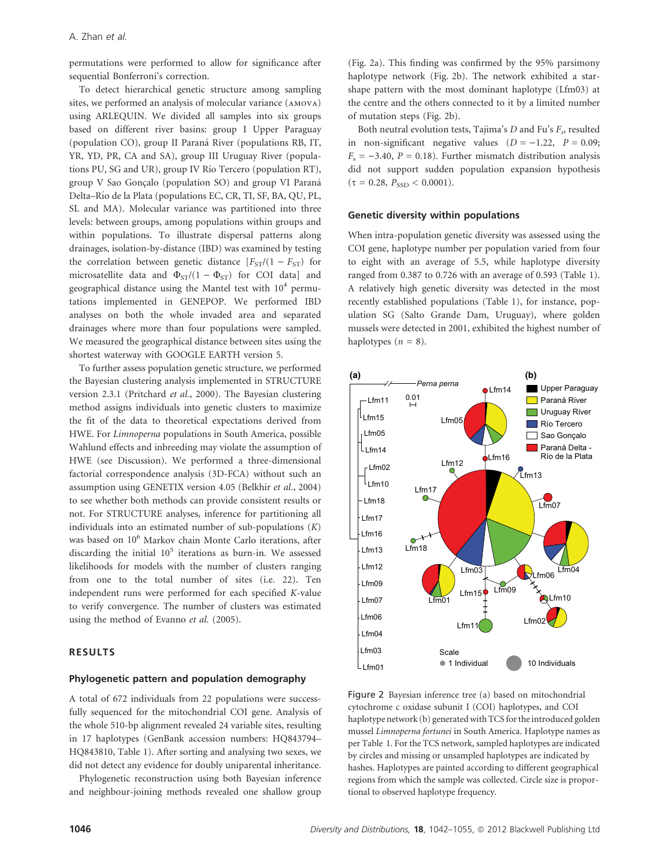permutations were performed to allow for significance after sequential Bonferroni's correction.

To detect hierarchical genetic structure among sampling sites, we performed an analysis of molecular variance (amova) using ARLEQUIN. We divided all samples into six groups based on different river basins: group I Upper Paraguay (population CO), group II Paraná River (populations RB, IT, YR, YD, PR, CA and SA), group III Uruguay River (populations PU, SG and UR), group IV Río Tercero (population RT), group V Sao Gonçalo (population SO) and group VI Paraná Delta–Rı´o de la Plata (populations EC, CR, TI, SF, BA, QU, PL, SL and MA). Molecular variance was partitioned into three levels: between groups, among populations within groups and within populations. To illustrate dispersal patterns along drainages, isolation-by-distance (IBD) was examined by testing the correlation between genetic distance  $[F_{ST}/(1 - F_{ST})$  for microsatellite data and  $\Phi_{ST}/(1 - \Phi_{ST})$  for COI data] and geographical distance using the Mantel test with  $10<sup>4</sup>$  permutations implemented in GENEPOP. We performed IBD analyses on both the whole invaded area and separated drainages where more than four populations were sampled. We measured the geographical distance between sites using the shortest waterway with GOOGLE EARTH version 5.

To further assess population genetic structure, we performed the Bayesian clustering analysis implemented in STRUCTURE version 2.3.1 (Pritchard et al., 2000). The Bayesian clustering method assigns individuals into genetic clusters to maximize the fit of the data to theoretical expectations derived from HWE. For Limnoperna populations in South America, possible Wahlund effects and inbreeding may violate the assumption of HWE (see Discussion). We performed a three-dimensional factorial correspondence analysis (3D-FCA) without such an assumption using GENETIX version 4.05 (Belkhir et al., 2004) to see whether both methods can provide consistent results or not. For STRUCTURE analyses, inference for partitioning all individuals into an estimated number of sub-populations  $(K)$ was based on 10<sup>6</sup> Markov chain Monte Carlo iterations, after discarding the initial  $10^5$  iterations as burn-in. We assessed likelihoods for models with the number of clusters ranging from one to the total number of sites (i.e. 22). Ten independent runs were performed for each specified K-value to verify convergence. The number of clusters was estimated using the method of Evanno et al. (2005).

### RESULTS

### Phylogenetic pattern and population demography

A total of 672 individuals from 22 populations were successfully sequenced for the mitochondrial COI gene. Analysis of the whole 510-bp alignment revealed 24 variable sites, resulting in 17 haplotypes (GenBank accession numbers: HQ843794– HQ843810, Table 1). After sorting and analysing two sexes, we did not detect any evidence for doubly uniparental inheritance.

Phylogenetic reconstruction using both Bayesian inference and neighbour-joining methods revealed one shallow group (Fig. 2a). This finding was confirmed by the 95% parsimony haplotype network (Fig. 2b). The network exhibited a starshape pattern with the most dominant haplotype (Lfm03) at the centre and the others connected to it by a limited number of mutation steps (Fig. 2b).

Both neutral evolution tests, Tajima's  $D$  and Fu's  $F_s$ , resulted in non-significant negative values  $(D = -1.22, P = 0.09;$  $F<sub>s</sub> = -3.40, P = 0.18$ . Further mismatch distribution analysis did not support sudden population expansion hypothesis  $(\tau = 0.28, P_{SSD} < 0.0001).$ 

#### Genetic diversity within populations

When intra-population genetic diversity was assessed using the COI gene, haplotype number per population varied from four to eight with an average of 5.5, while haplotype diversity ranged from 0.387 to 0.726 with an average of 0.593 (Table 1). A relatively high genetic diversity was detected in the most recently established populations (Table 1), for instance, population SG (Salto Grande Dam, Uruguay), where golden mussels were detected in 2001, exhibited the highest number of haplotypes  $(n = 8)$ .



Figure 2 Bayesian inference tree (a) based on mitochondrial cytochrome c oxidase subunit I (COI) haplotypes, and COI haplotype network (b) generated with TCS for the introduced golden mussel Limnoperna fortunei in South America. Haplotype names as per Table 1. For the TCS network, sampled haplotypes are indicated by circles and missing or unsampled haplotypes are indicated by hashes. Haplotypes are painted according to different geographical regions from which the sample was collected. Circle size is proportional to observed haplotype frequency.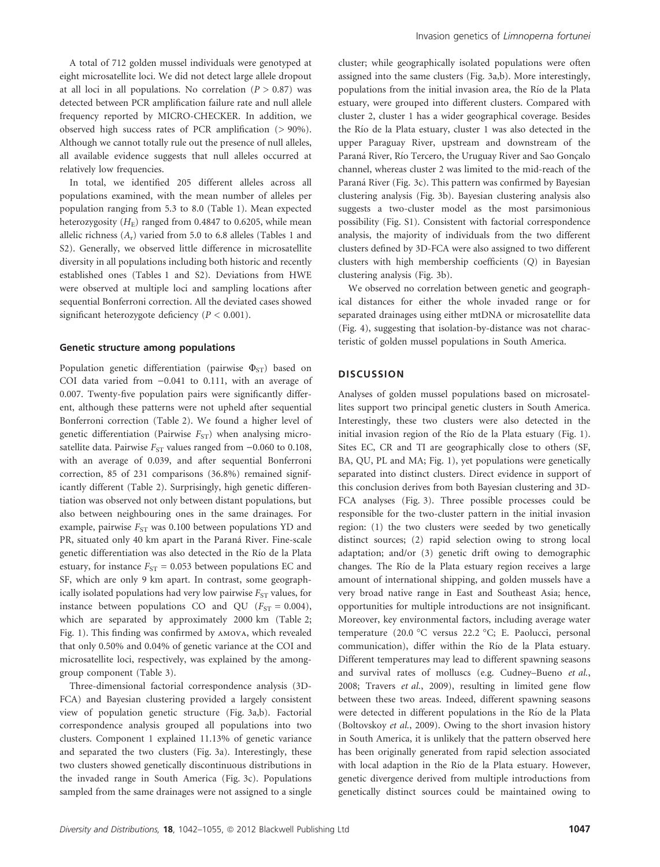A total of 712 golden mussel individuals were genotyped at eight microsatellite loci. We did not detect large allele dropout at all loci in all populations. No correlation  $(P > 0.87)$  was detected between PCR amplification failure rate and null allele frequency reported by MICRO-CHECKER. In addition, we observed high success rates of PCR amplification (> 90%). Although we cannot totally rule out the presence of null alleles, all available evidence suggests that null alleles occurred at relatively low frequencies.

In total, we identified 205 different alleles across all populations examined, with the mean number of alleles per population ranging from 5.3 to 8.0 (Table 1). Mean expected heterozygosity  $(H_E)$  ranged from 0.4847 to 0.6205, while mean allelic richness  $(A_r)$  varied from 5.0 to 6.8 alleles (Tables 1 and S2). Generally, we observed little difference in microsatellite diversity in all populations including both historic and recently established ones (Tables 1 and S2). Deviations from HWE were observed at multiple loci and sampling locations after sequential Bonferroni correction. All the deviated cases showed significant heterozygote deficiency ( $P < 0.001$ ).

#### Genetic structure among populations

Population genetic differentiation (pairwise  $\Phi_{ST}$ ) based on COI data varied from  $-0.041$  to 0.111, with an average of 0.007. Twenty-five population pairs were significantly different, although these patterns were not upheld after sequential Bonferroni correction (Table 2). We found a higher level of genetic differentiation (Pairwise  $F_{ST}$ ) when analysing microsatellite data. Pairwise  $F_{ST}$  values ranged from  $-0.060$  to 0.108, with an average of 0.039, and after sequential Bonferroni correction, 85 of 231 comparisons (36.8%) remained significantly different (Table 2). Surprisingly, high genetic differentiation was observed not only between distant populations, but also between neighbouring ones in the same drainages. For example, pairwise  $F_{ST}$  was 0.100 between populations YD and PR, situated only 40 km apart in the Paraná River. Fine-scale genetic differentiation was also detected in the Río de la Plata estuary, for instance  $F_{ST}$  = 0.053 between populations EC and SF, which are only 9 km apart. In contrast, some geographically isolated populations had very low pairwise  $F_{ST}$  values, for instance between populations CO and QU ( $F_{ST} = 0.004$ ), which are separated by approximately 2000 km (Table 2; Fig. 1). This finding was confirmed by amova, which revealed that only 0.50% and 0.04% of genetic variance at the COI and microsatellite loci, respectively, was explained by the amonggroup component (Table 3).

Three-dimensional factorial correspondence analysis (3D-FCA) and Bayesian clustering provided a largely consistent view of population genetic structure (Fig. 3a,b). Factorial correspondence analysis grouped all populations into two clusters. Component 1 explained 11.13% of genetic variance and separated the two clusters (Fig. 3a). Interestingly, these two clusters showed genetically discontinuous distributions in the invaded range in South America (Fig. 3c). Populations sampled from the same drainages were not assigned to a single cluster; while geographically isolated populations were often assigned into the same clusters (Fig. 3a,b). More interestingly, populations from the initial invasion area, the Rı´o de la Plata estuary, were grouped into different clusters. Compared with cluster 2, cluster 1 has a wider geographical coverage. Besides the Río de la Plata estuary, cluster 1 was also detected in the upper Paraguay River, upstream and downstream of the Paraná River, Río Tercero, the Uruguay River and Sao Gonçalo channel, whereas cluster 2 was limited to the mid-reach of the Paraná River (Fig. 3c). This pattern was confirmed by Bayesian clustering analysis (Fig. 3b). Bayesian clustering analysis also suggests a two-cluster model as the most parsimonious possibility (Fig. S1). Consistent with factorial correspondence analysis, the majority of individuals from the two different clusters defined by 3D-FCA were also assigned to two different clusters with high membership coefficients (Q) in Bayesian clustering analysis (Fig. 3b).

We observed no correlation between genetic and geographical distances for either the whole invaded range or for separated drainages using either mtDNA or microsatellite data (Fig. 4), suggesting that isolation-by-distance was not characteristic of golden mussel populations in South America.

#### **DISCUSSION**

Analyses of golden mussel populations based on microsatellites support two principal genetic clusters in South America. Interestingly, these two clusters were also detected in the initial invasion region of the Río de la Plata estuary (Fig. 1). Sites EC, CR and TI are geographically close to others (SF, BA, QU, PL and MA; Fig. 1), yet populations were genetically separated into distinct clusters. Direct evidence in support of this conclusion derives from both Bayesian clustering and 3D-FCA analyses (Fig. 3). Three possible processes could be responsible for the two-cluster pattern in the initial invasion region: (1) the two clusters were seeded by two genetically distinct sources; (2) rapid selection owing to strong local adaptation; and/or (3) genetic drift owing to demographic changes. The Río de la Plata estuary region receives a large amount of international shipping, and golden mussels have a very broad native range in East and Southeast Asia; hence, opportunities for multiple introductions are not insignificant. Moreover, key environmental factors, including average water temperature (20.0 °C versus 22.2 °C; E. Paolucci, personal communication), differ within the Río de la Plata estuary. Different temperatures may lead to different spawning seasons and survival rates of molluscs (e.g. Cudney–Bueno et al., 2008; Travers et al., 2009), resulting in limited gene flow between these two areas. Indeed, different spawning seasons were detected in different populations in the Río de la Plata (Boltovskoy et al., 2009). Owing to the short invasion history in South America, it is unlikely that the pattern observed here has been originally generated from rapid selection associated with local adaption in the Río de la Plata estuary. However, genetic divergence derived from multiple introductions from genetically distinct sources could be maintained owing to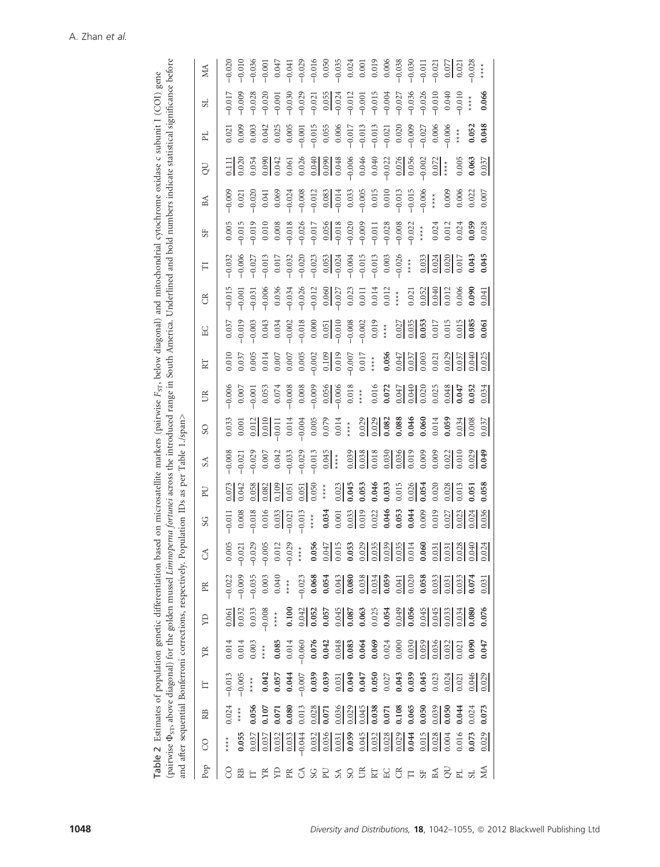| pairwise $\Phi_{\rm ST}$ , above diagonal) for the golden mussel Limnoperna fortunei across the introduced<br>and after sequential Bonferroni corrections, respectively. P                                                                                                                                                                                                                                                                                                                                                                                                                                                                       |  |  |  | opulation IDs                                                                    | as per                                           | Table                                                                                         | l./span                                                                                                                                                                                                                                                                                               | range in South America. Underlined |                                                                                                                                                                                                                                                                                                                     |                                                                                                                                                                                                                                                                                               |   |                                                                                                                                                                                                                                                                                                                                              |                                                                                                                                                                                                                                                                                                     | and bold numbers indicate statistical significance before                                                                                                                                                                                                                                                                    |                                                                                                                                                                                                                                                                                              |    |                                                                                                                                                                                                                                                                                                                                  |  |
|--------------------------------------------------------------------------------------------------------------------------------------------------------------------------------------------------------------------------------------------------------------------------------------------------------------------------------------------------------------------------------------------------------------------------------------------------------------------------------------------------------------------------------------------------------------------------------------------------------------------------------------------------|--|--|--|----------------------------------------------------------------------------------|--------------------------------------------------|-----------------------------------------------------------------------------------------------|-------------------------------------------------------------------------------------------------------------------------------------------------------------------------------------------------------------------------------------------------------------------------------------------------------|------------------------------------|---------------------------------------------------------------------------------------------------------------------------------------------------------------------------------------------------------------------------------------------------------------------------------------------------------------------|-----------------------------------------------------------------------------------------------------------------------------------------------------------------------------------------------------------------------------------------------------------------------------------------------|---|----------------------------------------------------------------------------------------------------------------------------------------------------------------------------------------------------------------------------------------------------------------------------------------------------------------------------------------------|-----------------------------------------------------------------------------------------------------------------------------------------------------------------------------------------------------------------------------------------------------------------------------------------------------|------------------------------------------------------------------------------------------------------------------------------------------------------------------------------------------------------------------------------------------------------------------------------------------------------------------------------|----------------------------------------------------------------------------------------------------------------------------------------------------------------------------------------------------------------------------------------------------------------------------------------------|----|----------------------------------------------------------------------------------------------------------------------------------------------------------------------------------------------------------------------------------------------------------------------------------------------------------------------------------|--|
| SG<br>$\Im$<br>$_{\rm{PR}}$<br>άX<br>X<br>Ë<br>$\mathbb R$<br>$\rm_{\rm CO}$                                                                                                                                                                                                                                                                                                                                                                                                                                                                                                                                                                     |  |  |  |                                                                                  | БJ                                               | S <sub>A</sub>                                                                                | SO                                                                                                                                                                                                                                                                                                    | US                                 | KT                                                                                                                                                                                                                                                                                                                  | EC                                                                                                                                                                                                                                                                                            | E | 口                                                                                                                                                                                                                                                                                                                                            | 5F                                                                                                                                                                                                                                                                                                  | BA                                                                                                                                                                                                                                                                                                                           | JO                                                                                                                                                                                                                                                                                           | FL | 5L                                                                                                                                                                                                                                                                                                                               |  |
| $-0.013$<br>$-0.005$<br>$0.024$<br>****<br>$\underset{\star}{\star}$                                                                                                                                                                                                                                                                                                                                                                                                                                                                                                                                                                             |  |  |  |                                                                                  | $\frac{0.075}{0.042}$                            |                                                                                               |                                                                                                                                                                                                                                                                                                       |                                    |                                                                                                                                                                                                                                                                                                                     |                                                                                                                                                                                                                                                                                               |   |                                                                                                                                                                                                                                                                                                                                              |                                                                                                                                                                                                                                                                                                     |                                                                                                                                                                                                                                                                                                                              |                                                                                                                                                                                                                                                                                              |    |                                                                                                                                                                                                                                                                                                                                  |  |
|                                                                                                                                                                                                                                                                                                                                                                                                                                                                                                                                                                                                                                                  |  |  |  |                                                                                  |                                                  | $0.008$<br>$0.021$                                                                            |                                                                                                                                                                                                                                                                                                       |                                    |                                                                                                                                                                                                                                                                                                                     |                                                                                                                                                                                                                                                                                               |   |                                                                                                                                                                                                                                                                                                                                              | $0.005$<br>$-0.015$                                                                                                                                                                                                                                                                                 |                                                                                                                                                                                                                                                                                                                              |                                                                                                                                                                                                                                                                                              |    | $-0.017$                                                                                                                                                                                                                                                                                                                         |  |
|                                                                                                                                                                                                                                                                                                                                                                                                                                                                                                                                                                                                                                                  |  |  |  |                                                                                  | 0.058                                            |                                                                                               |                                                                                                                                                                                                                                                                                                       |                                    |                                                                                                                                                                                                                                                                                                                     |                                                                                                                                                                                                                                                                                               |   | $-0.032$<br>$-0.006$<br>$-0.027$<br>$-0.013$                                                                                                                                                                                                                                                                                                 |                                                                                                                                                                                                                                                                                                     |                                                                                                                                                                                                                                                                                                                              |                                                                                                                                                                                                                                                                                              |    |                                                                                                                                                                                                                                                                                                                                  |  |
|                                                                                                                                                                                                                                                                                                                                                                                                                                                                                                                                                                                                                                                  |  |  |  | $-0.011$<br>$-0.008$<br>$-0.018$<br>$-0.015$<br>$-0.017$<br>$-0.013$<br>$-0.013$ | $\frac{0.082}{0.105}$                            | $\begin{array}{c} 0.029 \\ 0.007 \\ 0.042 \\ 0.033 \\ -0.033 \\ -0.013 \\ \hline \end{array}$ |                                                                                                                                                                                                                                                                                                       |                                    |                                                                                                                                                                                                                                                                                                                     |                                                                                                                                                                                                                                                                                               |   |                                                                                                                                                                                                                                                                                                                                              |                                                                                                                                                                                                                                                                                                     |                                                                                                                                                                                                                                                                                                                              |                                                                                                                                                                                                                                                                                              |    | $-0.028$<br>$-0.020$<br>$-0.001$                                                                                                                                                                                                                                                                                                 |  |
|                                                                                                                                                                                                                                                                                                                                                                                                                                                                                                                                                                                                                                                  |  |  |  |                                                                                  |                                                  |                                                                                               |                                                                                                                                                                                                                                                                                                       |                                    |                                                                                                                                                                                                                                                                                                                     |                                                                                                                                                                                                                                                                                               |   |                                                                                                                                                                                                                                                                                                                                              |                                                                                                                                                                                                                                                                                                     |                                                                                                                                                                                                                                                                                                                              |                                                                                                                                                                                                                                                                                              |    |                                                                                                                                                                                                                                                                                                                                  |  |
|                                                                                                                                                                                                                                                                                                                                                                                                                                                                                                                                                                                                                                                  |  |  |  |                                                                                  |                                                  |                                                                                               |                                                                                                                                                                                                                                                                                                       |                                    |                                                                                                                                                                                                                                                                                                                     |                                                                                                                                                                                                                                                                                               |   |                                                                                                                                                                                                                                                                                                                                              |                                                                                                                                                                                                                                                                                                     |                                                                                                                                                                                                                                                                                                                              |                                                                                                                                                                                                                                                                                              |    |                                                                                                                                                                                                                                                                                                                                  |  |
|                                                                                                                                                                                                                                                                                                                                                                                                                                                                                                                                                                                                                                                  |  |  |  |                                                                                  | $\frac{0.051}{0.050}$                            |                                                                                               |                                                                                                                                                                                                                                                                                                       |                                    |                                                                                                                                                                                                                                                                                                                     |                                                                                                                                                                                                                                                                                               |   |                                                                                                                                                                                                                                                                                                                                              |                                                                                                                                                                                                                                                                                                     |                                                                                                                                                                                                                                                                                                                              |                                                                                                                                                                                                                                                                                              |    | $-0.030$<br>$-0.029$<br>$-0.021$                                                                                                                                                                                                                                                                                                 |  |
|                                                                                                                                                                                                                                                                                                                                                                                                                                                                                                                                                                                                                                                  |  |  |  |                                                                                  |                                                  |                                                                                               |                                                                                                                                                                                                                                                                                                       |                                    |                                                                                                                                                                                                                                                                                                                     |                                                                                                                                                                                                                                                                                               |   |                                                                                                                                                                                                                                                                                                                                              |                                                                                                                                                                                                                                                                                                     |                                                                                                                                                                                                                                                                                                                              |                                                                                                                                                                                                                                                                                              |    |                                                                                                                                                                                                                                                                                                                                  |  |
|                                                                                                                                                                                                                                                                                                                                                                                                                                                                                                                                                                                                                                                  |  |  |  |                                                                                  |                                                  |                                                                                               |                                                                                                                                                                                                                                                                                                       |                                    |                                                                                                                                                                                                                                                                                                                     |                                                                                                                                                                                                                                                                                               |   |                                                                                                                                                                                                                                                                                                                                              |                                                                                                                                                                                                                                                                                                     |                                                                                                                                                                                                                                                                                                                              |                                                                                                                                                                                                                                                                                              |    |                                                                                                                                                                                                                                                                                                                                  |  |
| $0.034$<br>0.001                                                                                                                                                                                                                                                                                                                                                                                                                                                                                                                                                                                                                                 |  |  |  |                                                                                  |                                                  |                                                                                               |                                                                                                                                                                                                                                                                                                       |                                    |                                                                                                                                                                                                                                                                                                                     |                                                                                                                                                                                                                                                                                               |   |                                                                                                                                                                                                                                                                                                                                              |                                                                                                                                                                                                                                                                                                     |                                                                                                                                                                                                                                                                                                                              |                                                                                                                                                                                                                                                                                              |    |                                                                                                                                                                                                                                                                                                                                  |  |
| $\frac{0.033}{0.019}$                                                                                                                                                                                                                                                                                                                                                                                                                                                                                                                                                                                                                            |  |  |  |                                                                                  |                                                  |                                                                                               |                                                                                                                                                                                                                                                                                                       |                                    |                                                                                                                                                                                                                                                                                                                     |                                                                                                                                                                                                                                                                                               |   |                                                                                                                                                                                                                                                                                                                                              |                                                                                                                                                                                                                                                                                                     |                                                                                                                                                                                                                                                                                                                              |                                                                                                                                                                                                                                                                                              |    |                                                                                                                                                                                                                                                                                                                                  |  |
|                                                                                                                                                                                                                                                                                                                                                                                                                                                                                                                                                                                                                                                  |  |  |  |                                                                                  |                                                  |                                                                                               |                                                                                                                                                                                                                                                                                                       |                                    |                                                                                                                                                                                                                                                                                                                     |                                                                                                                                                                                                                                                                                               |   |                                                                                                                                                                                                                                                                                                                                              |                                                                                                                                                                                                                                                                                                     |                                                                                                                                                                                                                                                                                                                              |                                                                                                                                                                                                                                                                                              |    |                                                                                                                                                                                                                                                                                                                                  |  |
| $0.022$<br>0.046<br>0.053<br>0.044                                                                                                                                                                                                                                                                                                                                                                                                                                                                                                                                                                                                               |  |  |  |                                                                                  | $\frac{0.023}{0.045}$<br>0.053<br>0.046<br>0.033 |                                                                                               |                                                                                                                                                                                                                                                                                                       |                                    |                                                                                                                                                                                                                                                                                                                     |                                                                                                                                                                                                                                                                                               |   | $\begin{array}{c} 0.017 \\ 0.032 \\ -0.020 \\ -0.023 \\ -0.05 \\ -0.05 \\ -0.05 \\ -0.05 \\ -0.01 \\ -0.01 \\ -0.01 \\ -0.03 \\ +0.03 \\ +0.03 \\ +0.03 \\ +0.03 \\ +0.03 \\ +0.03 \\ +0.03 \\ +0.03 \\ +0.03 \\ +0.03 \\ +0.03 \\ +0.03 \\ +0.03 \\ +0.03 \\ +0.03 \\ +0.03 \\ +0.03 \\ +0.03 \\ +0.03 \\ +0.03 \\ +0.03 \\ +0.03 \\ +0.03$ |                                                                                                                                                                                                                                                                                                     |                                                                                                                                                                                                                                                                                                                              |                                                                                                                                                                                                                                                                                              |    |                                                                                                                                                                                                                                                                                                                                  |  |
|                                                                                                                                                                                                                                                                                                                                                                                                                                                                                                                                                                                                                                                  |  |  |  |                                                                                  |                                                  |                                                                                               |                                                                                                                                                                                                                                                                                                       |                                    |                                                                                                                                                                                                                                                                                                                     |                                                                                                                                                                                                                                                                                               |   |                                                                                                                                                                                                                                                                                                                                              |                                                                                                                                                                                                                                                                                                     |                                                                                                                                                                                                                                                                                                                              |                                                                                                                                                                                                                                                                                              |    |                                                                                                                                                                                                                                                                                                                                  |  |
|                                                                                                                                                                                                                                                                                                                                                                                                                                                                                                                                                                                                                                                  |  |  |  |                                                                                  | 0.015                                            |                                                                                               |                                                                                                                                                                                                                                                                                                       |                                    |                                                                                                                                                                                                                                                                                                                     |                                                                                                                                                                                                                                                                                               |   |                                                                                                                                                                                                                                                                                                                                              |                                                                                                                                                                                                                                                                                                     |                                                                                                                                                                                                                                                                                                                              |                                                                                                                                                                                                                                                                                              |    |                                                                                                                                                                                                                                                                                                                                  |  |
|                                                                                                                                                                                                                                                                                                                                                                                                                                                                                                                                                                                                                                                  |  |  |  |                                                                                  | $\frac{0.026}{0.054}$                            |                                                                                               |                                                                                                                                                                                                                                                                                                       |                                    |                                                                                                                                                                                                                                                                                                                     |                                                                                                                                                                                                                                                                                               |   |                                                                                                                                                                                                                                                                                                                                              |                                                                                                                                                                                                                                                                                                     |                                                                                                                                                                                                                                                                                                                              |                                                                                                                                                                                                                                                                                              |    |                                                                                                                                                                                                                                                                                                                                  |  |
|                                                                                                                                                                                                                                                                                                                                                                                                                                                                                                                                                                                                                                                  |  |  |  |                                                                                  |                                                  |                                                                                               |                                                                                                                                                                                                                                                                                                       |                                    |                                                                                                                                                                                                                                                                                                                     |                                                                                                                                                                                                                                                                                               |   |                                                                                                                                                                                                                                                                                                                                              |                                                                                                                                                                                                                                                                                                     |                                                                                                                                                                                                                                                                                                                              |                                                                                                                                                                                                                                                                                              |    |                                                                                                                                                                                                                                                                                                                                  |  |
|                                                                                                                                                                                                                                                                                                                                                                                                                                                                                                                                                                                                                                                  |  |  |  |                                                                                  | 0.020                                            |                                                                                               |                                                                                                                                                                                                                                                                                                       |                                    |                                                                                                                                                                                                                                                                                                                     |                                                                                                                                                                                                                                                                                               |   |                                                                                                                                                                                                                                                                                                                                              |                                                                                                                                                                                                                                                                                                     |                                                                                                                                                                                                                                                                                                                              |                                                                                                                                                                                                                                                                                              |    |                                                                                                                                                                                                                                                                                                                                  |  |
| $\frac{0.019}{0.027}$<br>$\frac{0.027}{0.024}$                                                                                                                                                                                                                                                                                                                                                                                                                                                                                                                                                                                                   |  |  |  |                                                                                  |                                                  |                                                                                               |                                                                                                                                                                                                                                                                                                       |                                    |                                                                                                                                                                                                                                                                                                                     |                                                                                                                                                                                                                                                                                               |   |                                                                                                                                                                                                                                                                                                                                              |                                                                                                                                                                                                                                                                                                     |                                                                                                                                                                                                                                                                                                                              |                                                                                                                                                                                                                                                                                              |    |                                                                                                                                                                                                                                                                                                                                  |  |
| $\frac{1}{1000}$ $\frac{1}{1000}$ $\frac{1}{1000}$ $\frac{1}{1000}$ $\frac{1}{1000}$ $\frac{1}{1000}$ $\frac{1}{1000}$ $\frac{1}{1000}$ $\frac{1}{1000}$ $\frac{1}{1000}$ $\frac{1}{1000}$ $\frac{1}{1000}$ $\frac{1}{1000}$ $\frac{1}{1000}$ $\frac{1}{1000}$ $\frac{1}{1000}$ $\frac{1}{1000}$<br>$\begin{array}{r} 666676 \\ 666756 \\ 666756 \\ 666756 \\ 666756 \\ 666756 \\ 666756 \\ 666756 \\ 666756 \\ 666756 \\ 666756 \\ 666756 \\ 666756 \\ 666756 \\ 666756 \\ 666756 \\ 666756 \\ 666756 \\ 666756 \\ 666756 \\ 666756 \\ 666756 \\ 666756 \\ 666756 \\ 666756 \\ 666756 \\ 6667$<br>s alalalala alalalala selalalala alala a sesa |  |  |  |                                                                                  | $\frac{28}{1013}$                                |                                                                                               | $\begin{array}{r} 333 \\ 0.01 \\ 0.01 \\ 0.01 \\ 0.000 \\ 0.000 \\ 0.000 \\ 0.000 \\ 0.000 \\ 0.000 \\ 0.000 \\ 0.000 \\ 0.000 \\ 0.000 \\ 0.000 \\ 0.000 \\ 0.000 \\ 0.000 \\ 0.000 \\ 0.000 \\ 0.000 \\ 0.000 \\ 0.000 \\ 0.000 \\ 0.000 \\ 0.000 \\ 0.000 \\ 0.000 \\ 0.000 \\ 0.000 \\ 0.000 \\ $ |                                    | $\frac{1}{2}$ $\frac{1}{2}$ $\frac{1}{2}$ $\frac{1}{2}$ $\frac{1}{2}$ $\frac{1}{2}$ $\frac{1}{2}$ $\frac{1}{2}$ $\frac{1}{2}$ $\frac{1}{2}$ $\frac{1}{2}$ $\frac{1}{2}$ $\frac{1}{2}$ $\frac{1}{2}$ $\frac{1}{2}$ $\frac{1}{2}$ $\frac{1}{2}$ $\frac{1}{2}$ $\frac{1}{2}$ $\frac{1}{2}$ $\frac{1}{2}$ $\frac{1}{2}$ | $\begin{array}{r} 37.33 \\ 37.33 \\ 37.35 \\ 38.37 \\ 39.39 \\ 30.333 \\ 31.31 \\ 32.333 \\ 33.333 \\ 33.333 \\ 33.333 \\ 33.333 \\ 33.333 \\ 33.333 \\ 33.333 \\ 33.333 \\ 33.333 \\ 33.333 \\ 33.333 \\ 33.333 \\ 33.333 \\ 33.333 \\ 33.333 \\ 33.333 \\ 33.333 \\ 33.333 \\ 33.333 \\ 33$ |   | $\frac{0.033}{0.024}$<br>$\frac{0.024}{0.017}$<br>$\frac{0.033}{0.017}$<br><b>0.045</b>                                                                                                                                                                                                                                                      | $\begin{array}{r} 0.010 \\ 0.010 \\ 0.008 \\ 0.010 \\ 0.008 \\ 0.010 \\ 0.011 \\ 0.011 \\ 0.011 \\ 0.008 \\ 0.000 \\ 0.000 \\ 0.000 \\ 0.000 \\ 0.000 \\ 0.000 \\ 0.000 \\ 0.000 \\ 0.000 \\ 0.000 \\ 0.000 \\ 0.000 \\ 0.000 \\ 0.000 \\ 0.000 \\ 0.000 \\ 0.000 \\ 0.000 \\ 0.000 \\ 0.000 \\ 0.$ | $\begin{array}{r} 0 & 0 & 0 & 0 & 0 \\ 0 & 0 & 0 & 0 & 0 \\ 0 & 0 & 0 & 0 & 0 \\ 0 & 0 & 0 & 0 & 0 \\ 0 & 0 & 0 & 0 & 0 \\ 0 & 0 & 0 & 0 & 0 \\ 0 & 0 & 0 & 0 & 0 \\ 0 & 0 & 0 & 0 & 0 \\ 0 & 0 & 0 & 0 & 0 \\ 0 & 0 & 0 & 0 & 0 \\ 0 & 0 & 0 & 0 & 0 \\ 0 & 0 & 0 & 0 & 0 \\ 0 & 0 & 0 & 0 & 0 \\ 0 & 0 & 0 & 0 & 0 \\ 0 &$ | $\begin{array}{r} -11804 & 0.00000 \\ -11804 & 0.00000 \\ -11804 & 0.00000 \\ -11804 & 0.00000 \\ -11804 & 0.00000 \\ -11804 & 0.00000 \\ -11804 & 0.00000 \\ -11804 & 0.00000 \\ -11804 & 0.00000 \\ -11804 & 0.00000 \\ -11804 & 0.00000 \\ -11804 & 0.00000 \\ -11804 & 0.00000 \\ -1180$ |    | $\begin{array}{r} 0.055 \\ 0.024 \\ -0.012 \\ -0.015 \\ -0.015 \\ -0.015 \\ -0.004 \\ -0.004 \\ -0.004 \\ -0.004 \\ -0.004 \\ +0.004 \\ +0.004 \\ +0.004 \\ +0.004 \\ +0.004 \\ +0.004 \\ +0.004 \\ +0.004 \\ +0.004 \\ +0.004 \\ +0.004 \\ +0.004 \\ +0.004 \\ +0.004 \\ +0.004 \\ +0.004 \\ +0.004 \\ +0.004 \\ +0.004 \\ +0.$ |  |
|                                                                                                                                                                                                                                                                                                                                                                                                                                                                                                                                                                                                                                                  |  |  |  |                                                                                  |                                                  |                                                                                               |                                                                                                                                                                                                                                                                                                       |                                    |                                                                                                                                                                                                                                                                                                                     |                                                                                                                                                                                                                                                                                               |   |                                                                                                                                                                                                                                                                                                                                              |                                                                                                                                                                                                                                                                                                     |                                                                                                                                                                                                                                                                                                                              |                                                                                                                                                                                                                                                                                              |    |                                                                                                                                                                                                                                                                                                                                  |  |
| 0.073                                                                                                                                                                                                                                                                                                                                                                                                                                                                                                                                                                                                                                            |  |  |  |                                                                                  | 0.058                                            |                                                                                               |                                                                                                                                                                                                                                                                                                       |                                    |                                                                                                                                                                                                                                                                                                                     |                                                                                                                                                                                                                                                                                               |   |                                                                                                                                                                                                                                                                                                                                              |                                                                                                                                                                                                                                                                                                     |                                                                                                                                                                                                                                                                                                                              |                                                                                                                                                                                                                                                                                              |    | 0.066                                                                                                                                                                                                                                                                                                                            |  |

Table 2 Estimates of population genetic differentiation based on microsatellite markers (pairwise FST, below diagonal) and mitochondrial cytochrome oxidase c subunit I (COI) gene

Table 2 Estimates of population genetic differentiation based on microsatellite markers (pairwise F<sub>ST</sub>, below diagonal) and mitochondrial cytochrome oxidase c subunit I (COI) gene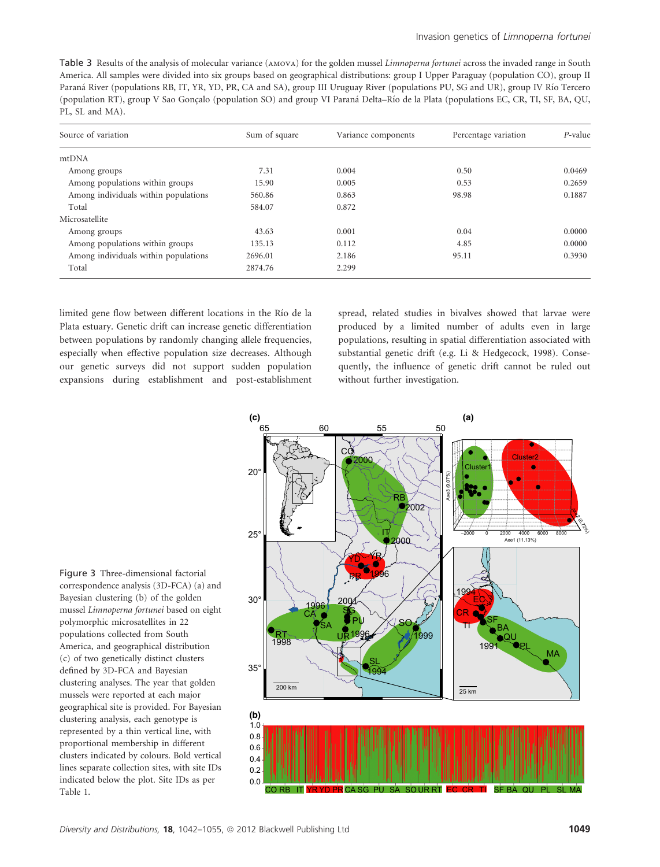Table 3 Results of the analysis of molecular variance (AMOVA) for the golden mussel *Limnoperna fortunei* across the invaded range in South America. All samples were divided into six groups based on geographical distributions: group I Upper Paraguay (population CO), group II Paraná River (populations RB, IT, YR, YD, PR, CA and SA), group III Uruguay River (populations PU, SG and UR), group IV Río Tercero (population RT), group V Sao Goncalo (population SO) and group VI Paraná Delta–Río de la Plata (populations EC, CR, TI, SF, BA, QU, PL, SL and MA).

| Source of variation                  | Sum of square | Variance components | Percentage variation | P-value |
|--------------------------------------|---------------|---------------------|----------------------|---------|
| mtDNA                                |               |                     |                      |         |
| Among groups                         | 7.31          | 0.004               | 0.50                 | 0.0469  |
| Among populations within groups      | 15.90         | 0.005               | 0.53                 | 0.2659  |
| Among individuals within populations | 560.86        | 0.863               | 98.98                | 0.1887  |
| Total                                | 584.07        | 0.872               |                      |         |
| Microsatellite                       |               |                     |                      |         |
| Among groups                         | 43.63         | 0.001               | 0.04                 | 0.0000  |
| Among populations within groups      | 135.13        | 0.112               | 4.85                 | 0.0000  |
| Among individuals within populations | 2696.01       | 2.186               | 95.11                | 0.3930  |
| Total                                | 2874.76       | 2.299               |                      |         |

limited gene flow between different locations in the Río de la Plata estuary. Genetic drift can increase genetic differentiation between populations by randomly changing allele frequencies, especially when effective population size decreases. Although our genetic surveys did not support sudden population expansions during establishment and post-establishment spread, related studies in bivalves showed that larvae were produced by a limited number of adults even in large populations, resulting in spatial differentiation associated with substantial genetic drift (e.g. Li & Hedgecock, 1998). Consequently, the influence of genetic drift cannot be ruled out without further investigation.



Figure 3 Three-dimensional factorial correspondence analysis (3D-FCA) (a) and Bayesian clustering (b) of the golden mussel Limnoperna fortunei based on eight polymorphic microsatellites in 22 populations collected from South America, and geographical distribution (c) of two genetically distinct clusters defined by 3D-FCA and Bayesian clustering analyses. The year that golden mussels were reported at each major geographical site is provided. For Bayesian clustering analysis, each genotype is represented by a thin vertical line, with proportional membership in different clusters indicated by colours. Bold vertical lines separate collection sites, with site IDs indicated below the plot. Site IDs as per Table 1.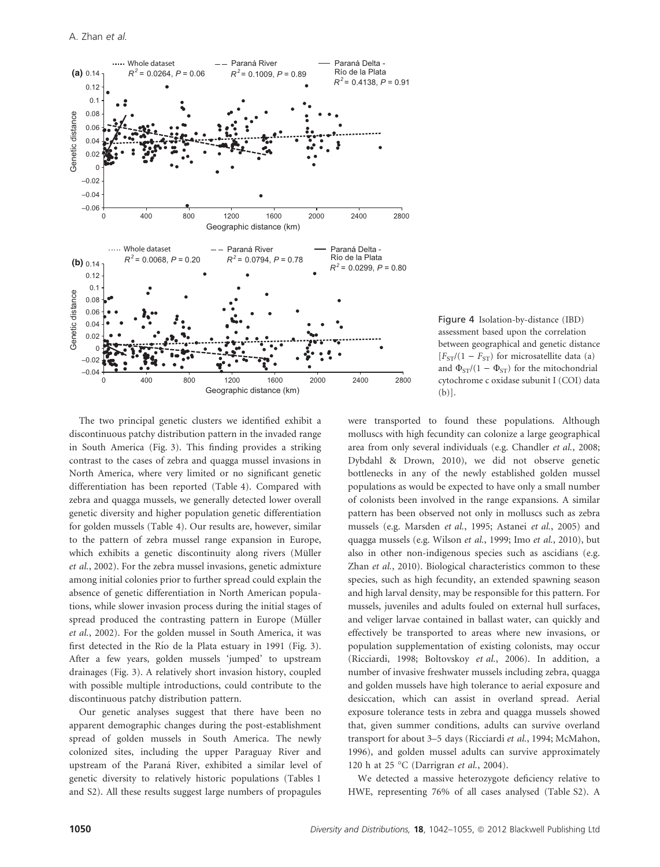

Figure 4 Isolation-by-distance (IBD) assessment based upon the correlation between geographical and genetic distance  $[F<sub>ST</sub>/(1 - F<sub>ST</sub>)$  for microsatellite data (a) and  $\Phi_{ST}/(1 - \Phi_{ST})$  for the mitochondrial cytochrome c oxidase subunit I (COI) data (b)].

The two principal genetic clusters we identified exhibit a discontinuous patchy distribution pattern in the invaded range in South America (Fig. 3). This finding provides a striking contrast to the cases of zebra and quagga mussel invasions in North America, where very limited or no significant genetic differentiation has been reported (Table 4). Compared with zebra and quagga mussels, we generally detected lower overall genetic diversity and higher population genetic differentiation for golden mussels (Table 4). Our results are, however, similar to the pattern of zebra mussel range expansion in Europe, which exhibits a genetic discontinuity along rivers (Müller et al., 2002). For the zebra mussel invasions, genetic admixture among initial colonies prior to further spread could explain the absence of genetic differentiation in North American populations, while slower invasion process during the initial stages of spread produced the contrasting pattern in Europe (Müller et al., 2002). For the golden mussel in South America, it was first detected in the Rı´o de la Plata estuary in 1991 (Fig. 3). After a few years, golden mussels 'jumped' to upstream drainages (Fig. 3). A relatively short invasion history, coupled with possible multiple introductions, could contribute to the discontinuous patchy distribution pattern.

Our genetic analyses suggest that there have been no apparent demographic changes during the post-establishment spread of golden mussels in South America. The newly colonized sites, including the upper Paraguay River and upstream of the Paraná River, exhibited a similar level of genetic diversity to relatively historic populations (Tables 1 and S2). All these results suggest large numbers of propagules were transported to found these populations. Although molluscs with high fecundity can colonize a large geographical area from only several individuals (e.g. Chandler et al., 2008; Dybdahl & Drown, 2010), we did not observe genetic bottlenecks in any of the newly established golden mussel populations as would be expected to have only a small number of colonists been involved in the range expansions. A similar pattern has been observed not only in molluscs such as zebra mussels (e.g. Marsden et al., 1995; Astanei et al., 2005) and quagga mussels (e.g. Wilson et al., 1999; Imo et al., 2010), but also in other non-indigenous species such as ascidians (e.g. Zhan et al., 2010). Biological characteristics common to these species, such as high fecundity, an extended spawning season and high larval density, may be responsible for this pattern. For mussels, juveniles and adults fouled on external hull surfaces, and veliger larvae contained in ballast water, can quickly and effectively be transported to areas where new invasions, or population supplementation of existing colonists, may occur (Ricciardi, 1998; Boltovskoy et al., 2006). In addition, a number of invasive freshwater mussels including zebra, quagga and golden mussels have high tolerance to aerial exposure and desiccation, which can assist in overland spread. Aerial exposure tolerance tests in zebra and quagga mussels showed that, given summer conditions, adults can survive overland transport for about 3–5 days (Ricciardi et al., 1994; McMahon, 1996), and golden mussel adults can survive approximately 120 h at 25 °C (Darrigran et al., 2004).

We detected a massive heterozygote deficiency relative to HWE, representing 76% of all cases analysed (Table S2). A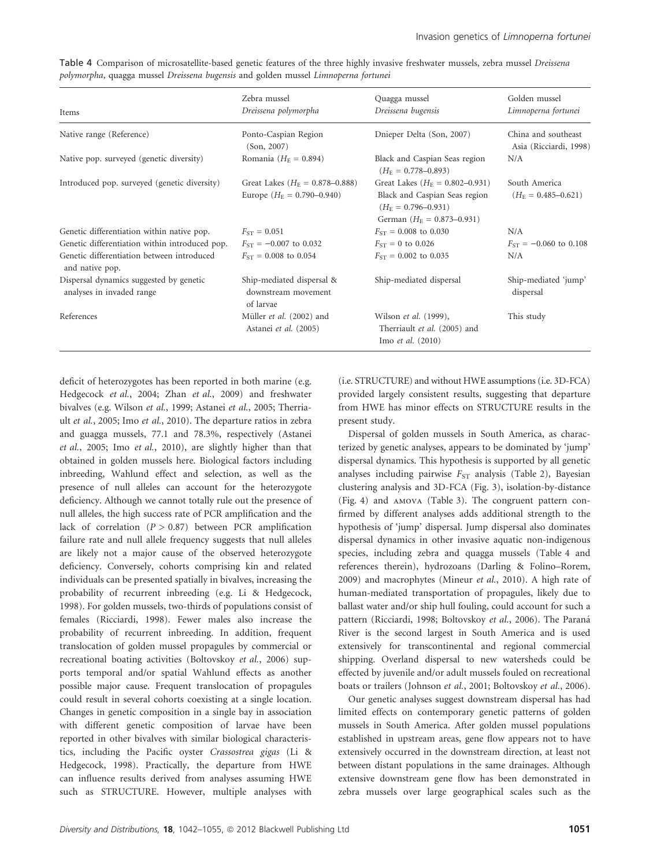|  | Table 4 Comparison of microsatellite-based genetic features of the three highly invasive freshwater mussels, zebra mussel Dreissena |  |  |  |  |  |
|--|-------------------------------------------------------------------------------------------------------------------------------------|--|--|--|--|--|
|  | polymorpha, quagga mussel Dreissena bugensis and golden mussel Limnoperna fortunei                                                  |  |  |  |  |  |

|                                                                      | Zebra mussel                                                                  | Quagga mussel                                                                                                                             | Golden mussel                                 |
|----------------------------------------------------------------------|-------------------------------------------------------------------------------|-------------------------------------------------------------------------------------------------------------------------------------------|-----------------------------------------------|
| Items                                                                | Dreissena polymorpha                                                          | Dreissena bugensis                                                                                                                        | Limnoperna fortunei                           |
| Native range (Reference)                                             | Ponto-Caspian Region<br>(Son, 2007)                                           | Dnieper Delta (Son, 2007)                                                                                                                 | China and southeast<br>Asia (Ricciardi, 1998) |
| Native pop. surveyed (genetic diversity)                             | Romania ( $H_{\rm F} = 0.894$ )                                               | Black and Caspian Seas region<br>$(H_F = 0.778 - 0.893)$                                                                                  | N/A                                           |
| Introduced pop. surveyed (genetic diversity)                         | Great Lakes ( $H_E = 0.878 - 0.888$ )<br>Europe $(H_{\rm E} = 0.790 - 0.940)$ | Great Lakes ( $H_{\rm E} = 0.802 - 0.931$ )<br>Black and Caspian Seas region<br>$(H_F = 0.796 - 0.931)$<br>German $(H_E = 0.873 - 0.931)$ | South America<br>$(H_F = 0.485 - 0.621)$      |
| Genetic differentiation within native pop.                           | $F_{ST} = 0.051$                                                              | $F_{ST} = 0.008$ to 0.030                                                                                                                 | N/A                                           |
| Genetic differentiation within introduced pop.                       | $F_{ST} = -0.007$ to 0.032                                                    | $F_{ST} = 0$ to 0.026                                                                                                                     | $F_{ST} = -0.060$ to 0.108                    |
| Genetic differentiation between introduced<br>and native pop.        | $F_{ST} = 0.008$ to 0.054                                                     | $F_{ST} = 0.002$ to 0.035                                                                                                                 | N/A                                           |
| Dispersal dynamics suggested by genetic<br>analyses in invaded range | Ship-mediated dispersal &<br>downstream movement<br>of larvae                 | Ship-mediated dispersal                                                                                                                   | Ship-mediated 'jump'<br>dispersal             |
| References                                                           | Müller et al. (2002) and<br>Astanei et al. (2005)                             | Wilson et al. (1999),<br>Therriault et al. (2005) and<br>Imo et al. $(2010)$                                                              | This study                                    |

deficit of heterozygotes has been reported in both marine (e.g. Hedgecock et al., 2004; Zhan et al., 2009) and freshwater bivalves (e.g. Wilson et al., 1999; Astanei et al., 2005; Therriault et al., 2005; Imo et al., 2010). The departure ratios in zebra and guagga mussels, 77.1 and 78.3%, respectively (Astanei et al., 2005; Imo et al., 2010), are slightly higher than that obtained in golden mussels here. Biological factors including inbreeding, Wahlund effect and selection, as well as the presence of null alleles can account for the heterozygote deficiency. Although we cannot totally rule out the presence of null alleles, the high success rate of PCR amplification and the lack of correlation  $(P > 0.87)$  between PCR amplification failure rate and null allele frequency suggests that null alleles are likely not a major cause of the observed heterozygote deficiency. Conversely, cohorts comprising kin and related individuals can be presented spatially in bivalves, increasing the probability of recurrent inbreeding (e.g. Li & Hedgecock, 1998). For golden mussels, two-thirds of populations consist of females (Ricciardi, 1998). Fewer males also increase the probability of recurrent inbreeding. In addition, frequent translocation of golden mussel propagules by commercial or recreational boating activities (Boltovskoy et al., 2006) supports temporal and/or spatial Wahlund effects as another possible major cause. Frequent translocation of propagules could result in several cohorts coexisting at a single location. Changes in genetic composition in a single bay in association with different genetic composition of larvae have been reported in other bivalves with similar biological characteristics, including the Pacific oyster Crassostrea gigas (Li & Hedgecock, 1998). Practically, the departure from HWE can influence results derived from analyses assuming HWE such as STRUCTURE. However, multiple analyses with (i.e. STRUCTURE) and without HWE assumptions (i.e. 3D-FCA) provided largely consistent results, suggesting that departure from HWE has minor effects on STRUCTURE results in the present study.

Dispersal of golden mussels in South America, as characterized by genetic analyses, appears to be dominated by 'jump' dispersal dynamics. This hypothesis is supported by all genetic analyses including pairwise  $F_{ST}$  analysis (Table 2), Bayesian clustering analysis and 3D-FCA (Fig. 3), isolation-by-distance (Fig. 4) and amova (Table 3). The congruent pattern confirmed by different analyses adds additional strength to the hypothesis of 'jump' dispersal. Jump dispersal also dominates dispersal dynamics in other invasive aquatic non-indigenous species, including zebra and quagga mussels (Table 4 and references therein), hydrozoans (Darling & Folino–Rorem, 2009) and macrophytes (Mineur et al., 2010). A high rate of human-mediated transportation of propagules, likely due to ballast water and/or ship hull fouling, could account for such a pattern (Ricciardi, 1998; Boltovskoy et al., 2006). The Paraná River is the second largest in South America and is used extensively for transcontinental and regional commercial shipping. Overland dispersal to new watersheds could be effected by juvenile and/or adult mussels fouled on recreational boats or trailers (Johnson et al., 2001; Boltovskoy et al., 2006).

Our genetic analyses suggest downstream dispersal has had limited effects on contemporary genetic patterns of golden mussels in South America. After golden mussel populations established in upstream areas, gene flow appears not to have extensively occurred in the downstream direction, at least not between distant populations in the same drainages. Although extensive downstream gene flow has been demonstrated in zebra mussels over large geographical scales such as the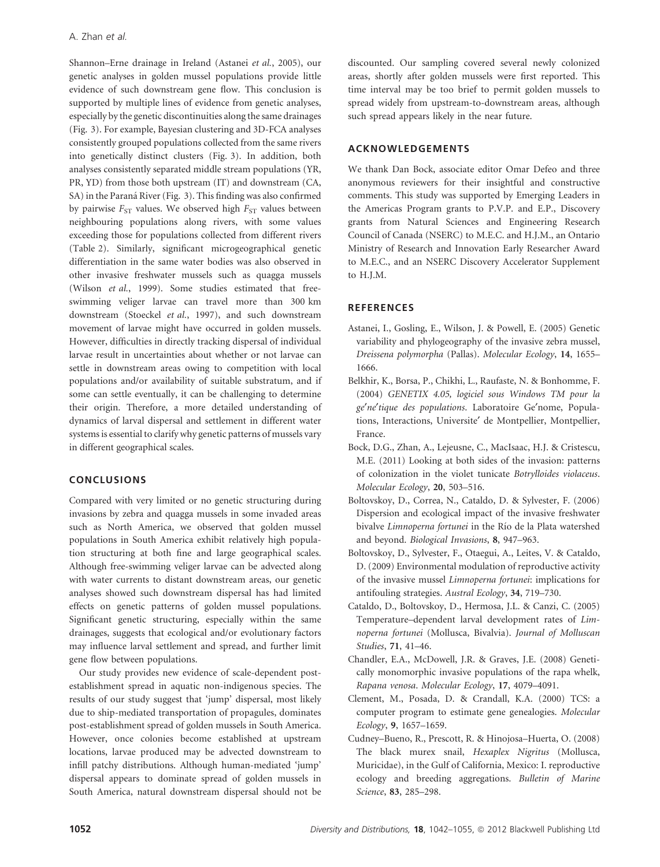Shannon–Erne drainage in Ireland (Astanei et al., 2005), our genetic analyses in golden mussel populations provide little evidence of such downstream gene flow. This conclusion is supported by multiple lines of evidence from genetic analyses, especially by the genetic discontinuities along the same drainages (Fig. 3). For example, Bayesian clustering and 3D-FCA analyses consistently grouped populations collected from the same rivers into genetically distinct clusters (Fig. 3). In addition, both analyses consistently separated middle stream populations (YR, PR, YD) from those both upstream (IT) and downstream (CA, SA) in the Paraná River (Fig. 3). This finding was also confirmed by pairwise  $F_{ST}$  values. We observed high  $F_{ST}$  values between neighbouring populations along rivers, with some values exceeding those for populations collected from different rivers (Table 2). Similarly, significant microgeographical genetic differentiation in the same water bodies was also observed in other invasive freshwater mussels such as quagga mussels (Wilson et al., 1999). Some studies estimated that freeswimming veliger larvae can travel more than 300 km downstream (Stoeckel et al., 1997), and such downstream movement of larvae might have occurred in golden mussels. However, difficulties in directly tracking dispersal of individual larvae result in uncertainties about whether or not larvae can settle in downstream areas owing to competition with local populations and/or availability of suitable substratum, and if some can settle eventually, it can be challenging to determine their origin. Therefore, a more detailed understanding of dynamics of larval dispersal and settlement in different water systems is essential to clarify why genetic patterns of mussels vary in different geographical scales.

## CONCLUSIONS

Compared with very limited or no genetic structuring during invasions by zebra and quagga mussels in some invaded areas such as North America, we observed that golden mussel populations in South America exhibit relatively high population structuring at both fine and large geographical scales. Although free-swimming veliger larvae can be advected along with water currents to distant downstream areas, our genetic analyses showed such downstream dispersal has had limited effects on genetic patterns of golden mussel populations. Significant genetic structuring, especially within the same drainages, suggests that ecological and/or evolutionary factors may influence larval settlement and spread, and further limit gene flow between populations.

Our study provides new evidence of scale-dependent postestablishment spread in aquatic non-indigenous species. The results of our study suggest that 'jump' dispersal, most likely due to ship-mediated transportation of propagules, dominates post-establishment spread of golden mussels in South America. However, once colonies become established at upstream locations, larvae produced may be advected downstream to infill patchy distributions. Although human-mediated 'jump' dispersal appears to dominate spread of golden mussels in South America, natural downstream dispersal should not be discounted. Our sampling covered several newly colonized areas, shortly after golden mussels were first reported. This time interval may be too brief to permit golden mussels to spread widely from upstream-to-downstream areas, although such spread appears likely in the near future.

## ACKNOWLEDGEMENTS

We thank Dan Bock, associate editor Omar Defeo and three anonymous reviewers for their insightful and constructive comments. This study was supported by Emerging Leaders in the Americas Program grants to P.V.P. and E.P., Discovery grants from Natural Sciences and Engineering Research Council of Canada (NSERC) to M.E.C. and H.J.M., an Ontario Ministry of Research and Innovation Early Researcher Award to M.E.C., and an NSERC Discovery Accelerator Supplement to H.J.M.

### **REFERENCES**

- Astanei, I., Gosling, E., Wilson, J. & Powell, E. (2005) Genetic variability and phylogeography of the invasive zebra mussel, Dreissena polymorpha (Pallas). Molecular Ecology, 14, 1655– 1666.
- Belkhir, K., Borsa, P., Chikhi, L., Raufaste, N. & Bonhomme, F. (2004) GENETIX 4.05, logiciel sous Windows TM pour la ge¢ne¢tique des populations. Laboratoire Ge¢nome, Populations, Interactions, Universite' de Montpellier, Montpellier, France.
- Bock, D.G., Zhan, A., Lejeusne, C., MacIsaac, H.J. & Cristescu, M.E. (2011) Looking at both sides of the invasion: patterns of colonization in the violet tunicate Botrylloides violaceus. Molecular Ecology, 20, 503–516.
- Boltovskoy, D., Correa, N., Cataldo, D. & Sylvester, F. (2006) Dispersion and ecological impact of the invasive freshwater bivalve Limnoperna fortunei in the Río de la Plata watershed and beyond. Biological Invasions, 8, 947–963.
- Boltovskoy, D., Sylvester, F., Otaegui, A., Leites, V. & Cataldo, D. (2009) Environmental modulation of reproductive activity of the invasive mussel Limnoperna fortunei: implications for antifouling strategies. Austral Ecology, 34, 719–730.
- Cataldo, D., Boltovskoy, D., Hermosa, J.L. & Canzi, C. (2005) Temperature–dependent larval development rates of Limnoperna fortunei (Mollusca, Bivalvia). Journal of Molluscan Studies, 71, 41–46.
- Chandler, E.A., McDowell, J.R. & Graves, J.E. (2008) Genetically monomorphic invasive populations of the rapa whelk, Rapana venosa. Molecular Ecology, 17, 4079–4091.
- Clement, M., Posada, D. & Crandall, K.A. (2000) TCS: a computer program to estimate gene genealogies. Molecular Ecology, 9, 1657–1659.
- Cudney–Bueno, R., Prescott, R. & Hinojosa–Huerta, O. (2008) The black murex snail, Hexaplex Nigritus (Mollusca, Muricidae), in the Gulf of California, Mexico: I. reproductive ecology and breeding aggregations. Bulletin of Marine Science, 83, 285–298.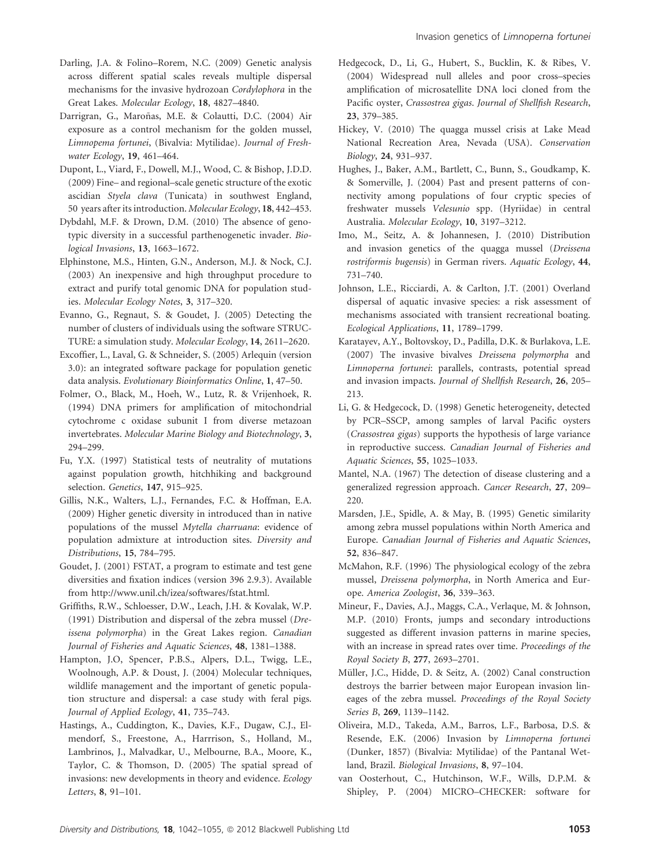- Darling, J.A. & Folino–Rorem, N.C. (2009) Genetic analysis across different spatial scales reveals multiple dispersal mechanisms for the invasive hydrozoan Cordylophora in the Great Lakes. Molecular Ecology, 18, 4827–4840.
- Darrigran, G., Maroñas, M.E. & Colautti, D.C. (2004) Air exposure as a control mechanism for the golden mussel, Limnopema fortunei, (Bivalvia: Mytilidae). Journal of Freshwater Ecology, 19, 461–464.
- Dupont, L., Viard, F., Dowell, M.J., Wood, C. & Bishop, J.D.D. (2009) Fine– and regional–scale genetic structure of the exotic ascidian Styela clava (Tunicata) in southwest England, 50 years after its introduction. Molecular Ecology, 18, 442–453.
- Dybdahl, M.F. & Drown, D.M. (2010) The absence of genotypic diversity in a successful parthenogenetic invader. Biological Invasions, 13, 1663–1672.
- Elphinstone, M.S., Hinten, G.N., Anderson, M.J. & Nock, C.J. (2003) An inexpensive and high throughput procedure to extract and purify total genomic DNA for population studies. Molecular Ecology Notes, 3, 317–320.
- Evanno, G., Regnaut, S. & Goudet, J. (2005) Detecting the number of clusters of individuals using the software STRUC-TURE: a simulation study. Molecular Ecology, 14, 2611–2620.
- Excoffier, L., Laval, G. & Schneider, S. (2005) Arlequin (version 3.0): an integrated software package for population genetic data analysis. Evolutionary Bioinformatics Online, 1, 47–50.
- Folmer, O., Black, M., Hoeh, W., Lutz, R. & Vrijenhoek, R. (1994) DNA primers for amplification of mitochondrial cytochrome c oxidase subunit I from diverse metazoan invertebrates. Molecular Marine Biology and Biotechnology, 3, 294–299.
- Fu, Y.X. (1997) Statistical tests of neutrality of mutations against population growth, hitchhiking and background selection. Genetics, 147, 915–925.
- Gillis, N.K., Walters, L.J., Fernandes, F.C. & Hoffman, E.A. (2009) Higher genetic diversity in introduced than in native populations of the mussel Mytella charruana: evidence of population admixture at introduction sites. Diversity and Distributions, 15, 784–795.
- Goudet, J. (2001) FSTAT, a program to estimate and test gene diversities and fixation indices (version 396 2.9.3). Available from http://www.unil.ch/izea/softwares/fstat.html.
- Griffiths, R.W., Schloesser, D.W., Leach, J.H. & Kovalak, W.P. (1991) Distribution and dispersal of the zebra mussel (Dreissena polymorpha) in the Great Lakes region. Canadian Journal of Fisheries and Aquatic Sciences, 48, 1381–1388.
- Hampton, J.O, Spencer, P.B.S., Alpers, D.L., Twigg, L.E., Woolnough, A.P. & Doust, J. (2004) Molecular techniques, wildlife management and the important of genetic population structure and dispersal: a case study with feral pigs. Journal of Applied Ecology, 41, 735–743.
- Hastings, A., Cuddington, K., Davies, K.F., Dugaw, C.J., Elmendorf, S., Freestone, A., Harrrison, S., Holland, M., Lambrinos, J., Malvadkar, U., Melbourne, B.A., Moore, K., Taylor, C. & Thomson, D. (2005) The spatial spread of invasions: new developments in theory and evidence. Ecology Letters, 8, 91–101.
- Hedgecock, D., Li, G., Hubert, S., Bucklin, K. & Ribes, V. (2004) Widespread null alleles and poor cross–species amplification of microsatellite DNA loci cloned from the Pacific oyster, Crassostrea gigas. Journal of Shellfish Research, 23, 379–385.
- Hickey, V. (2010) The quagga mussel crisis at Lake Mead National Recreation Area, Nevada (USA). Conservation Biology, 24, 931–937.
- Hughes, J., Baker, A.M., Bartlett, C., Bunn, S., Goudkamp, K. & Somerville, J. (2004) Past and present patterns of connectivity among populations of four cryptic species of freshwater mussels Velesunio spp. (Hyriidae) in central Australia. Molecular Ecology, 10, 3197–3212.
- Imo, M., Seitz, A. & Johannesen, J. (2010) Distribution and invasion genetics of the quagga mussel (Dreissena rostriformis bugensis) in German rivers. Aquatic Ecology, 44, 731–740.
- Johnson, L.E., Ricciardi, A. & Carlton, J.T. (2001) Overland dispersal of aquatic invasive species: a risk assessment of mechanisms associated with transient recreational boating. Ecological Applications, 11, 1789–1799.
- Karatayev, A.Y., Boltovskoy, D., Padilla, D.K. & Burlakova, L.E. (2007) The invasive bivalves Dreissena polymorpha and Limnoperna fortunei: parallels, contrasts, potential spread and invasion impacts. Journal of Shellfish Research, 26, 205– 213.
- Li, G. & Hedgecock, D. (1998) Genetic heterogeneity, detected by PCR–SSCP, among samples of larval Pacific oysters (Crassostrea gigas) supports the hypothesis of large variance in reproductive success. Canadian Journal of Fisheries and Aquatic Sciences, 55, 1025–1033.
- Mantel, N.A. (1967) The detection of disease clustering and a generalized regression approach. Cancer Research, 27, 209– 220.
- Marsden, J.E., Spidle, A. & May, B. (1995) Genetic similarity among zebra mussel populations within North America and Europe. Canadian Journal of Fisheries and Aquatic Sciences, 52, 836–847.
- McMahon, R.F. (1996) The physiological ecology of the zebra mussel, Dreissena polymorpha, in North America and Europe. America Zoologist, 36, 339–363.
- Mineur, F., Davies, A.J., Maggs, C.A., Verlaque, M. & Johnson, M.P. (2010) Fronts, jumps and secondary introductions suggested as different invasion patterns in marine species, with an increase in spread rates over time. Proceedings of the Royal Society B, 277, 2693–2701.
- Müller, J.C., Hidde, D. & Seitz, A. (2002) Canal construction destroys the barrier between major European invasion lineages of the zebra mussel. Proceedings of the Royal Society Series B, 269, 1139–1142.
- Oliveira, M.D., Takeda, A.M., Barros, L.F., Barbosa, D.S. & Resende, E.K. (2006) Invasion by Limnoperna fortunei (Dunker, 1857) (Bivalvia: Mytilidae) of the Pantanal Wetland, Brazil. Biological Invasions, 8, 97–104.
- van Oosterhout, C., Hutchinson, W.F., Wills, D.P.M. & Shipley, P. (2004) MICRO–CHECKER: software for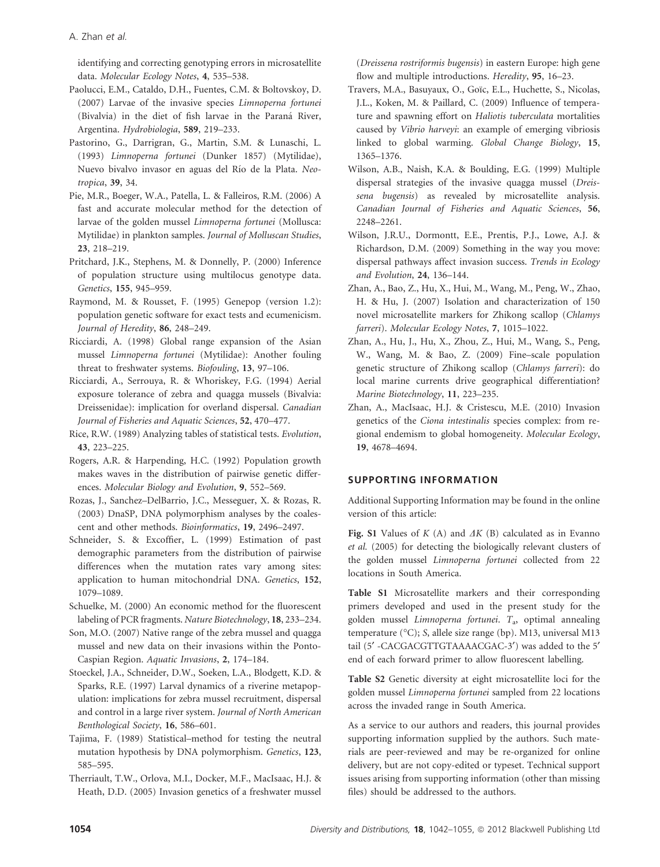A. Zhan et al.

identifying and correcting genotyping errors in microsatellite data. Molecular Ecology Notes, 4, 535–538.

- Paolucci, E.M., Cataldo, D.H., Fuentes, C.M. & Boltovskoy, D. (2007) Larvae of the invasive species Limnoperna fortunei (Bivalvia) in the diet of fish larvae in the Paraná River, Argentina. Hydrobiologia, 589, 219–233.
- Pastorino, G., Darrigran, G., Martin, S.M. & Lunaschi, L. (1993) Limnoperna fortunei (Dunker 1857) (Mytilidae), Nuevo bivalvo invasor en aguas del Río de la Plata. Neotropica, 39, 34.
- Pie, M.R., Boeger, W.A., Patella, L. & Falleiros, R.M. (2006) A fast and accurate molecular method for the detection of larvae of the golden mussel Limnoperna fortunei (Mollusca: Mytilidae) in plankton samples. Journal of Molluscan Studies, 23, 218–219.
- Pritchard, J.K., Stephens, M. & Donnelly, P. (2000) Inference of population structure using multilocus genotype data. Genetics, 155, 945–959.
- Raymond, M. & Rousset, F. (1995) Genepop (version 1.2): population genetic software for exact tests and ecumenicism. Journal of Heredity, 86, 248–249.
- Ricciardi, A. (1998) Global range expansion of the Asian mussel Limnoperna fortunei (Mytilidae): Another fouling threat to freshwater systems. Biofouling, 13, 97–106.
- Ricciardi, A., Serrouya, R. & Whoriskey, F.G. (1994) Aerial exposure tolerance of zebra and quagga mussels (Bivalvia: Dreissenidae): implication for overland dispersal. Canadian Journal of Fisheries and Aquatic Sciences, 52, 470–477.
- Rice, R.W. (1989) Analyzing tables of statistical tests. Evolution, 43, 223–225.
- Rogers, A.R. & Harpending, H.C. (1992) Population growth makes waves in the distribution of pairwise genetic differences. Molecular Biology and Evolution, 9, 552–569.
- Rozas, J., Sanchez–DelBarrio, J.C., Messeguer, X. & Rozas, R. (2003) DnaSP, DNA polymorphism analyses by the coalescent and other methods. Bioinformatics, 19, 2496–2497.
- Schneider, S. & Excoffier, L. (1999) Estimation of past demographic parameters from the distribution of pairwise differences when the mutation rates vary among sites: application to human mitochondrial DNA. Genetics, 152, 1079–1089.
- Schuelke, M. (2000) An economic method for the fluorescent labeling of PCR fragments. Nature Biotechnology, 18, 233–234.
- Son, M.O. (2007) Native range of the zebra mussel and quagga mussel and new data on their invasions within the Ponto-Caspian Region. Aquatic Invasions, 2, 174–184.
- Stoeckel, J.A., Schneider, D.W., Soeken, L.A., Blodgett, K.D. & Sparks, R.E. (1997) Larval dynamics of a riverine metapopulation: implications for zebra mussel recruitment, dispersal and control in a large river system. Journal of North American Benthological Society, 16, 586–601.
- Tajima, F. (1989) Statistical–method for testing the neutral mutation hypothesis by DNA polymorphism. Genetics, 123, 585–595.
- Therriault, T.W., Orlova, M.I., Docker, M.F., MacIsaac, H.J. & Heath, D.D. (2005) Invasion genetics of a freshwater mussel

(Dreissena rostriformis bugensis) in eastern Europe: high gene flow and multiple introductions. Heredity, 95, 16-23.

- Travers, M.A., Basuyaux, O., Goïc, E.L., Huchette, S., Nicolas, J.L., Koken, M. & Paillard, C. (2009) Influence of temperature and spawning effort on Haliotis tuberculata mortalities caused by Vibrio harveyi: an example of emerging vibriosis linked to global warming. Global Change Biology, 15, 1365–1376.
- Wilson, A.B., Naish, K.A. & Boulding, E.G. (1999) Multiple dispersal strategies of the invasive quagga mussel (Dreissena bugensis) as revealed by microsatellite analysis. Canadian Journal of Fisheries and Aquatic Sciences, 56, 2248–2261.
- Wilson, J.R.U., Dormontt, E.E., Prentis, P.J., Lowe, A.J. & Richardson, D.M. (2009) Something in the way you move: dispersal pathways affect invasion success. Trends in Ecology and Evolution, 24, 136–144.
- Zhan, A., Bao, Z., Hu, X., Hui, M., Wang, M., Peng, W., Zhao, H. & Hu, J. (2007) Isolation and characterization of 150 novel microsatellite markers for Zhikong scallop (Chlamys farreri). Molecular Ecology Notes, 7, 1015–1022.
- Zhan, A., Hu, J., Hu, X., Zhou, Z., Hui, M., Wang, S., Peng, W., Wang, M. & Bao, Z. (2009) Fine–scale population genetic structure of Zhikong scallop (Chlamys farreri): do local marine currents drive geographical differentiation? Marine Biotechnology, 11, 223–235.
- Zhan, A., MacIsaac, H.J. & Cristescu, M.E. (2010) Invasion genetics of the Ciona intestinalis species complex: from regional endemism to global homogeneity. Molecular Ecology, 19, 4678–4694.

# SUPPORTING INFORMATION

Additional Supporting Information may be found in the online version of this article:

Fig. S1 Values of  $K(A)$  and  $\Delta K(B)$  calculated as in Evanno et al. (2005) for detecting the biologically relevant clusters of the golden mussel Limnoperna fortunei collected from 22 locations in South America.

Table S1 Microsatellite markers and their corresponding primers developed and used in the present study for the golden mussel Limnoperna fortunei. T<sub>a</sub>, optimal annealing temperature (°C); S, allele size range (bp). M13, universal M13 tail (5' -CACGACGTTGTAAAACGAC-3') was added to the 5' end of each forward primer to allow fluorescent labelling.

Table S2 Genetic diversity at eight microsatellite loci for the golden mussel Limnoperna fortunei sampled from 22 locations across the invaded range in South America.

As a service to our authors and readers, this journal provides supporting information supplied by the authors. Such materials are peer-reviewed and may be re-organized for online delivery, but are not copy-edited or typeset. Technical support issues arising from supporting information (other than missing files) should be addressed to the authors.